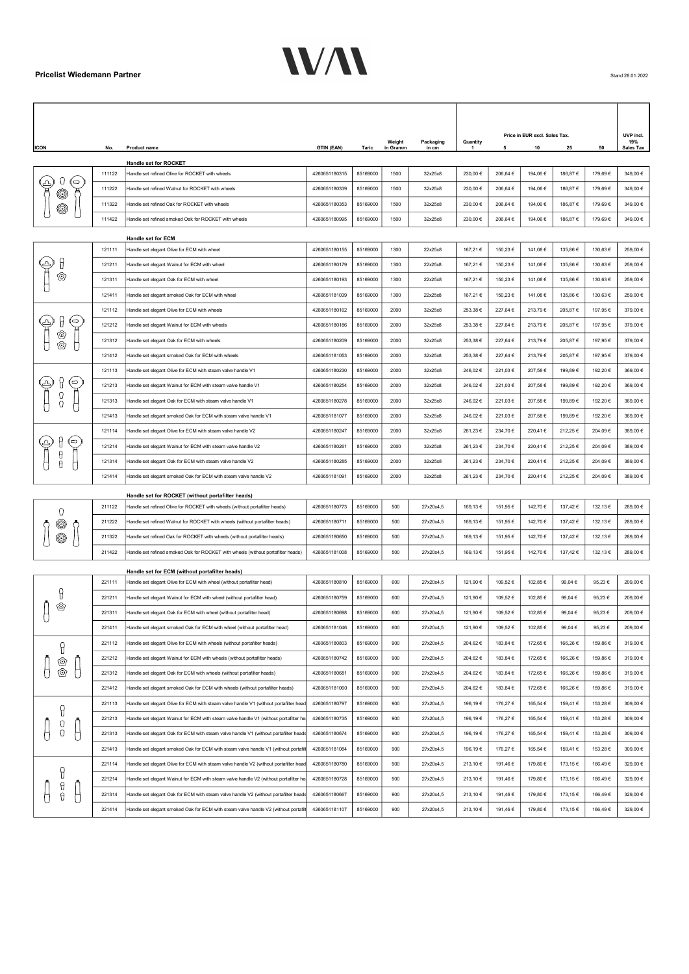

|                                                                                                                                                                                                                                                                                                                                                                                                                                                                                                                                |        |                                                                                       |                   |          |                    |                    |                          |          | Price in EUR excl. Sales Tax. |          |                                                                                                                 | UVP incl.        |
|--------------------------------------------------------------------------------------------------------------------------------------------------------------------------------------------------------------------------------------------------------------------------------------------------------------------------------------------------------------------------------------------------------------------------------------------------------------------------------------------------------------------------------|--------|---------------------------------------------------------------------------------------|-------------------|----------|--------------------|--------------------|--------------------------|----------|-------------------------------|----------|-----------------------------------------------------------------------------------------------------------------|------------------|
| <b>ICON</b>                                                                                                                                                                                                                                                                                                                                                                                                                                                                                                                    | No.    | Product name                                                                          | <b>GTIN (EAN)</b> | Taric    | Weight<br>in Gramm | Packaging<br>in cm | Quantity<br>$\mathbf{1}$ |          | 10                            | 25       | 50                                                                                                              | 19%<br>Sales Tax |
|                                                                                                                                                                                                                                                                                                                                                                                                                                                                                                                                |        | Handle set for ROCKET                                                                 |                   |          |                    |                    |                          |          |                               |          |                                                                                                                 |                  |
|                                                                                                                                                                                                                                                                                                                                                                                                                                                                                                                                | 111122 | Handle set refined Olive for ROCKET with wheels                                       | 4260651180315     | 85169000 | 1500               | 32x25x8            | 230,00 €                 | 206,64 € | 194,06 €                      | 186,87 € | 179,69€                                                                                                         | 349,00 €         |
|                                                                                                                                                                                                                                                                                                                                                                                                                                                                                                                                | 111222 | Handle set refined Walnut for ROCKET with wheels                                      | 4260651180339     | 85169000 | 1500               | 32x25x8            | 230,00 €                 | 206,64 € | 194,06 €                      | 186,87 € | 179,69€                                                                                                         | 349,00 €         |
|                                                                                                                                                                                                                                                                                                                                                                                                                                                                                                                                | 111322 | Handle set refined Oak for ROCKET with wheels                                         | 4260651180353     | 85169000 | 1500               | 32x25x8            | 230,00 €                 | 206,64 € | 194,06€                       | 186,87€  | 179,69€                                                                                                         | 349,00 €         |
|                                                                                                                                                                                                                                                                                                                                                                                                                                                                                                                                | 111422 | Handle set refined smoked Oak for ROCKET with wheels                                  | 4260651180995     | 85169000 | 1500               | 32x25x8            | 230,00 €                 | 206,64 € | 194,06€                       | 186,87 € | 179,69€                                                                                                         | 349,00 €         |
|                                                                                                                                                                                                                                                                                                                                                                                                                                                                                                                                |        | <b>Handle set for ECM</b>                                                             |                   |          |                    |                    |                          |          |                               |          |                                                                                                                 |                  |
| $\begin{array}{c} 0 & 0 \ 0 & 0 \ 0 & 0 \end{array}$<br>$\begin{picture}(40,40) \put(0,0){\line(1,0){155}} \put(15,0){\line(1,0){155}} \put(15,0){\line(1,0){155}} \put(15,0){\line(1,0){155}} \put(15,0){\line(1,0){155}} \put(15,0){\line(1,0){155}} \put(15,0){\line(1,0){155}} \put(15,0){\line(1,0){155}} \put(15,0){\line(1,0){155}} \put(15,0){\line(1,0){155}} \put(15,0){\line(1,0){155}} \$<br>$\Rightarrow$<br>$\begin{matrix} 1 & 1 \\ 1 & 1 \\ 1 & 1 \end{matrix}$<br>O<br>A<br>◉<br>8<br>₿<br><b>©</b><br>8<br>O | 121111 | Handle set elegant Olive for ECM with wheel                                           | 4260651180155     | 85169000 | 1300               | 22x25x8            | 167,21 €                 | 150,23 € | 141,08 €                      | 135,86 € | 130,63 €                                                                                                        | 259,00€          |
|                                                                                                                                                                                                                                                                                                                                                                                                                                                                                                                                | 121211 | Handle set elegant Walnut for ECM with wheel                                          | 4260651180179     | 85169000 | 1300               | 22x25x8            | 167,21€                  | 150,23 € | 141,08 €                      | 135,86 € | 130,63 €                                                                                                        | 259,00€          |
|                                                                                                                                                                                                                                                                                                                                                                                                                                                                                                                                | 121311 | Handle set elegant Oak for ECM with wheel                                             | 4260651180193     | 85169000 | 1300               | 22x25x8            | 167,21 €                 | 150,23 € | 141,08€                       | 135,86 € | 130,63 €                                                                                                        | 259,00€          |
|                                                                                                                                                                                                                                                                                                                                                                                                                                                                                                                                | 121411 | Handle set elegant smoked Oak for ECM with wheel                                      | 4260651181039     | 85169000 | 1300               | 22x25x8            | 167,21€                  | 150,23 € | 141,08 €                      | 135,86 € | 130,63 €                                                                                                        | 259.00 €         |
|                                                                                                                                                                                                                                                                                                                                                                                                                                                                                                                                | 121112 | Handle set elegant Olive for ECM with wheels                                          | 4260651180162     | 85169000 | 2000               | 32x25x8            | 253,38 €                 | 227,64 € | 213,79€                       | 205,87 € | 197,95€                                                                                                         | 379,00 €         |
|                                                                                                                                                                                                                                                                                                                                                                                                                                                                                                                                | 121212 | Handle set elegant Walnut for ECM with wheels                                         | 4260651180186     | 85169000 | 2000               | 32x25x8            | 253,38 €                 | 227,64 € | 213,79€                       | 205,87 € | 197,95€                                                                                                         | 379,00 €         |
|                                                                                                                                                                                                                                                                                                                                                                                                                                                                                                                                | 121312 | Handle set elegant Oak for ECM with wheels                                            | 4260651180209     | 85169000 | 2000               | 32x25x8            | 253,38 €                 | 227,64 € | 213,79€                       | 205,87 € | 197,95€                                                                                                         | 379,00 €         |
|                                                                                                                                                                                                                                                                                                                                                                                                                                                                                                                                | 121412 | Handle set elegant smoked Oak for ECM with wheels                                     | 4260651181053     | 85169000 | 2000               | 32x25x8            | 253,38 €                 | 227,64 € | 213,79€                       | 205,87 € | 197,95€                                                                                                         | 379,00 €         |
|                                                                                                                                                                                                                                                                                                                                                                                                                                                                                                                                | 121113 | Handle set elegant Olive for ECM with steam valve handle V1                           | 4260651180230     | 85169000 | 2000               | 32x25x8            | 246,02 €                 | 221,03 € | 207,58 €                      | 199,89€  | 192,20 €                                                                                                        | 369,00 €         |
|                                                                                                                                                                                                                                                                                                                                                                                                                                                                                                                                | 121213 | Handle set elegant Walnut for ECM with steam valve handle V1                          | 4260651180254     | 85169000 | 2000               | 32x25x8            | 246,02€                  | 221,03 € | 207,58 €                      | 199,89€  | 192,20 €                                                                                                        | 369,00 €         |
|                                                                                                                                                                                                                                                                                                                                                                                                                                                                                                                                | 121313 | Handle set elegant Oak for ECM with steam valve handle V1                             | 4260651180278     | 85169000 | 2000               | 32x25x8            | 246,02 €                 | 221,03 € | 207,58 €                      | 199,89 € | 192,20 €                                                                                                        | 369,00 €         |
|                                                                                                                                                                                                                                                                                                                                                                                                                                                                                                                                | 121413 | Handle set elegant smoked Oak for ECM with steam valve handle V1                      | 4260651181077     | 85169000 | 2000               | 32x25x8            | 246,02€                  | 221,03 € | 207,58 €                      | 199,89€  | 192,20 €                                                                                                        | 369,00 €         |
|                                                                                                                                                                                                                                                                                                                                                                                                                                                                                                                                | 121114 | Handle set elegant Olive for ECM with steam valve handle V2                           | 4260651180247     | 85169000 | 2000               | 32x25x8            | 261,23 €                 | 234,70 € | 220,41€                       | 212,25€  | 204,09€                                                                                                         | 389,00 €         |
|                                                                                                                                                                                                                                                                                                                                                                                                                                                                                                                                | 121214 | Handle set elegant Walnut for ECM with steam valve handle V2                          | 4260651180261     | 85169000 | 2000               | 32x25x8            | 261,23€                  | 234,70 € | 220,41 €                      | 212,25€  | 204,09 €                                                                                                        | 389,00 €         |
|                                                                                                                                                                                                                                                                                                                                                                                                                                                                                                                                | 121314 | Handle set elegant Oak for ECM with steam valve handle V2                             | 4260651180285     | 85169000 | 2000               | 32x25x8            | 261,23 €                 | 234,70 € | 220,41€                       | 212,25€  | 204,09€                                                                                                         | 389.00 €         |
|                                                                                                                                                                                                                                                                                                                                                                                                                                                                                                                                | 121414 | Handle set elegant smoked Oak for ECM with steam valve handle V2                      | 4260651181091     | 85169000 | 2000               | 32x25x8            | 261,23€                  | 234,70 € | 220,41€                       | 212,25€  | 204,09€                                                                                                         | 389,00 €         |
|                                                                                                                                                                                                                                                                                                                                                                                                                                                                                                                                |        | Handle set for ROCKET (without portafilter heads)                                     |                   |          |                    |                    |                          |          |                               |          |                                                                                                                 |                  |
|                                                                                                                                                                                                                                                                                                                                                                                                                                                                                                                                | 211122 | Handle set refined Olive for ROCKET with wheels (without portafilter heads)           | 4260651180773     | 85169000 | 500                | 27x20x4,5          | 169,13€                  | 151,95€  | 142,70 €                      | 137,42 € | 132,13 €                                                                                                        | 289,00€          |
|                                                                                                                                                                                                                                                                                                                                                                                                                                                                                                                                | 211222 | Handle set refined Walnut for ROCKET with wheels (without portafilter heads)          | 4260651180711     | 85169000 | 500                | 27x20x4,5          | 169,13 €                 | 151,95€  | 142,70 €                      | 137,42 € | 132,13 €                                                                                                        | 289,00 €         |
|                                                                                                                                                                                                                                                                                                                                                                                                                                                                                                                                | 211322 | Handle set refined Oak for ROCKET with wheels (without portafilter heads)             | 4260651180650     | 85169000 | 500                | 27x20x4,5          | 169,13€                  | 151,95€  | 142,70 €                      | 137,42 € | 132,13 €                                                                                                        | 289,00 €         |
|                                                                                                                                                                                                                                                                                                                                                                                                                                                                                                                                | 211422 | Handle set refined smoked Oak for ROCKET with wheels (without portafilter heads)      | 4260651181008     | 85169000 | 500                | 27x20x4,5          | 169,13€                  | 151,95 € | 142,70 €                      | 137,42 € | 132,13 €                                                                                                        | 289,00 €         |
|                                                                                                                                                                                                                                                                                                                                                                                                                                                                                                                                |        | Handle set for ECM (without portafilter heads)                                        |                   |          |                    |                    |                          |          |                               |          |                                                                                                                 |                  |
|                                                                                                                                                                                                                                                                                                                                                                                                                                                                                                                                | 221111 | Handle set elegant Olive for ECM with wheel (without portafilter head)                | 4260651180810     | 85169000 | 600                | 27x20x4,5          | 121,90 €                 | 109,52 € | 102,85 €                      | 99,04 €  | 95,23€                                                                                                          | 209,00 €         |
|                                                                                                                                                                                                                                                                                                                                                                                                                                                                                                                                | 221211 | Handle set elegant Walnut for ECM with wheel (without portafilter head)               | 4260651180759     | 85169000 | 600                | 27x20x4,5          | 121,90 €                 | 109,52 € | 102,85€                       | 99,04€   | 95,23 €                                                                                                         | 209,00 €         |
|                                                                                                                                                                                                                                                                                                                                                                                                                                                                                                                                | 221311 | Handle set elegant Oak for ECM with wheel (without portafilter head)                  | 4260651180698     | 85169000 | 600                | 27x20x4.5          | 121,90 €                 | 109,52 € | 102,85 €                      | 99,04 €  | 95,23 €                                                                                                         | 209,00€          |
|                                                                                                                                                                                                                                                                                                                                                                                                                                                                                                                                | 221411 | Handle set elegant smoked Oak for ECM with wheel (without portafilter head)           | 4260651181046     | 85169000 | 600                | 27x20x4,5          | 121,90 €                 | 109,52 € | 102,85 €                      | 99,04 €  | 95,23 €                                                                                                         | 209,00€          |
|                                                                                                                                                                                                                                                                                                                                                                                                                                                                                                                                | 221112 | Handle set elegant Olive for ECM with wheels (without portafilter heads)              | 4260651180803     | 85169000 | 900                | 27x20x4,5          | 204,62€                  | 183,84 € | 172,65€                       | 166,26 € | 159,86 €                                                                                                        | 319,00 €         |
|                                                                                                                                                                                                                                                                                                                                                                                                                                                                                                                                | 221212 | Handle set elegant Walnut for ECM with wheels (without portafilter heads)             | 4260651180742     | 85169000 | 900                | 27x20x4,5          | 204,62€                  | 183,84 € | 172,65 €                      | 166,26 € | 159,86 €                                                                                                        | 319,00 €         |
|                                                                                                                                                                                                                                                                                                                                                                                                                                                                                                                                | 221312 | Handle set elegant Oak for ECM with wheels (without portafilter heads)                | 4260651180681     | 85169000 | 900                | 27x20x4,5          | 204,62€                  | 183,84 € | 172,65€                       | 166,26 € | 159,86 €                                                                                                        | 319,00 €         |
|                                                                                                                                                                                                                                                                                                                                                                                                                                                                                                                                | 221412 | Handle set elegant smoked Oak for ECM with wheels (without portafilter heads)         | 4260651181060     | 85169000 | 900                | 27x20x4,5          | 204,62 €                 | 183,84 € | 172,65€                       | 166,26 € | 159,86 €<br>153,28 €<br>153,28 €<br>153,28 €<br>153,28 €<br>166,49€<br>166,49€<br>166,49€<br>329,00€<br>166,49€ | 319,00 €         |
|                                                                                                                                                                                                                                                                                                                                                                                                                                                                                                                                | 221113 | Handle set elegant Olive for ECM with steam valve handle V1 (without portafilter head | 4260651180797     | 85169000 | 900                | 27x20x4,5          | 196,19€                  | 176,27 € | 165,54 €                      | 159,41 € |                                                                                                                 | 309,00€          |
|                                                                                                                                                                                                                                                                                                                                                                                                                                                                                                                                | 221213 | Handle set elegant Walnut for ECM with steam valve handle V1 (without portafilter he  | 4260651180735     | 85169000 | 900                | 27x20x4,5          | 196,19€                  | 176,27 € | 165,54 €                      | 159,41 € |                                                                                                                 | 309,00 €         |
|                                                                                                                                                                                                                                                                                                                                                                                                                                                                                                                                | 221313 | Handle set elegant Oak for ECM with steam valve handle V1 (without portafilter heads  | 4260651180674     | 85169000 | 900                | 27x20x4,5          | 196,19€                  | 176,27 € | 165,54 €                      | 159,41 € |                                                                                                                 | 309,00 €         |
|                                                                                                                                                                                                                                                                                                                                                                                                                                                                                                                                | 221413 | Handle set elegant smoked Oak for ECM with steam valve handle V1 (without portafilt   | 4260651181084     | 85169000 | 900                | 27x20x4,5          | 196,19€                  | 176,27 € | 165,54 €                      | 159,41 € |                                                                                                                 | 309,00€          |
|                                                                                                                                                                                                                                                                                                                                                                                                                                                                                                                                | 221114 | Handle set elegant Olive for ECM with steam valve handle V2 (without portafilter head | 4260651180780     | 85169000 | 900                | 27x20x4,5          | 213,10 €                 | 191,46 € | 179,80 €                      | 173,15 € |                                                                                                                 | 329,00 €         |
| 0                                                                                                                                                                                                                                                                                                                                                                                                                                                                                                                              | 221214 | Handle set elegant Walnut for ECM with steam valve handle V2 (without portafilter he  | 4260651180728     | 85169000 | 900                | 27x20x4,5          | 213,10 €                 | 191,46 € | 179,80 €                      | 173,15 € |                                                                                                                 | 329,00 €         |
| θ                                                                                                                                                                                                                                                                                                                                                                                                                                                                                                                              |        |                                                                                       |                   |          |                    |                    |                          |          |                               |          |                                                                                                                 |                  |
|                                                                                                                                                                                                                                                                                                                                                                                                                                                                                                                                | 221314 | Handle set elegant Oak for ECM with steam valve handle V2 (without portafilter heads  | 4260651180667     | 85169000 | 900                | 27x20x4,5          | 213,10 €                 | 191,46€  | 179,80 €                      | 173,15€  |                                                                                                                 | 329,00€          |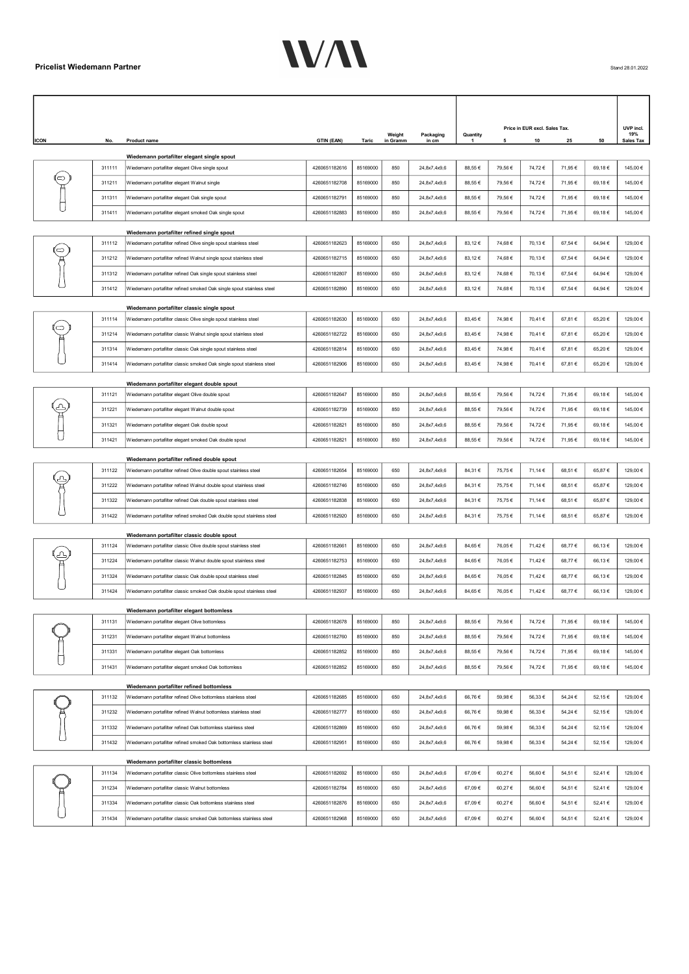|      |        |                                                                                                |               |          |                    |                    |                          |        | Price in EUR excl. Sales Tax. |         |                                                                                                                                                                                                                                                                                                    | UVP incl.        |
|------|--------|------------------------------------------------------------------------------------------------|---------------|----------|--------------------|--------------------|--------------------------|--------|-------------------------------|---------|----------------------------------------------------------------------------------------------------------------------------------------------------------------------------------------------------------------------------------------------------------------------------------------------------|------------------|
| ICON | No.    | Product name                                                                                   | GTIN (EAN)    | Taric    | Weight<br>in Gramm | Packaging<br>in cm | Quantity<br>$\mathbf{1}$ | 5      | 10                            | 25      | 50                                                                                                                                                                                                                                                                                                 | 19%<br>Sales Tax |
|      |        | Wiedemann portafilter elegant single spout                                                     |               |          |                    |                    |                          |        |                               |         |                                                                                                                                                                                                                                                                                                    |                  |
|      | 311111 | Wiedemann portafilter elegant Olive single spout                                               | 4260651182616 | 85169000 | 850                | 24,8x7,4x9,6       | 88,55 €                  | 79,56€ | 74,72€                        | 71,95 € | 69,18€                                                                                                                                                                                                                                                                                             | 145,00€          |
|      | 311211 | Wiedemann portafilter elegant Walnut single                                                    | 4260651182708 | 85169000 | 850                | 24,8x7,4x9,6       | 88,55 €                  | 79,56€ | 74,72€                        | 71,95 € | 69,18€                                                                                                                                                                                                                                                                                             | 145,00 €         |
|      | 311311 | Wiedemann portafilter elegant Oak single spout                                                 | 4260651182791 | 85169000 | 850                | 24,8x7,4x9,6       | 88,55 €                  | 79,56€ | 74,72€                        | 71,95 € | 69.18€                                                                                                                                                                                                                                                                                             | 145,00€          |
|      | 311411 | Wiedemann portafilter elegant smoked Oak single spout                                          | 4260651182883 | 85169000 | 850                | 24,8x7,4x9,6       | 88,55€                   | 79,56€ | 74,72€                        | 71,95€  | 69,18€                                                                                                                                                                                                                                                                                             | 145,00 €         |
|      |        | Wiedemann portafilter refined single spout                                                     |               |          |                    |                    |                          |        |                               |         |                                                                                                                                                                                                                                                                                                    |                  |
| O    | 311112 | Wiedemann portafilter refined Olive single spout stainless steel                               | 4260651182623 | 85169000 | 650                | 24,8x7,4x9,6       | 83,12 €                  | 74,68€ | 70,13€                        | 67,54 € | 64,94€                                                                                                                                                                                                                                                                                             | 129,00 €         |
|      | 311212 | Wiedemann portafilter refined Walnut single spout stainless steel                              | 4260651182715 | 85169000 | 650                | 24,8x7,4x9,6       | 83,12 €                  | 74,68€ | 70,13€                        | 67,54 € | 64,94€                                                                                                                                                                                                                                                                                             | 129,00 €         |
|      | 311312 | Wiedemann portafilter refined Oak single spout stainless steel                                 | 4260651182807 | 85169000 | 650                | 24,8x7,4x9,6       | 83,12 €                  | 74,68€ | 70,13€                        | 67,54 € | 64,94 €                                                                                                                                                                                                                                                                                            | 129,00 €         |
|      | 311412 | Wiedemann portafilter refined smoked Oak single spout stainless steel                          | 4260651182890 | 85169000 | 650                | 24,8x7,4x9,6       | 83,12 €                  | 74,68€ | 70,13€                        | 67,54 € | 64,94€<br>65,20€<br>65,20€<br>65,20€<br>65,20€<br>69,18€<br>69,18€<br>69,18€<br>69,18€<br>65,87€<br>65,87€<br>65,87€<br>65,87€<br>66,13€<br>66,13€<br>66,13€<br>66,13€<br>69,18€<br>69,18€<br>69,18€<br>69,18€<br>52,15€<br>52,15€<br>52,15€<br>52,15€<br>52,41 €<br>52,41 €<br>52,41 €<br>52,41 € | 129,00 €         |
|      |        | Wiedemann portafilter classic single spout                                                     |               |          |                    |                    |                          |        |                               |         |                                                                                                                                                                                                                                                                                                    |                  |
|      | 311114 | Wiedemann portafilter classic Olive single spout stainless steel                               | 4260651182630 | 85169000 | 650                | 24,8x7,4x9,6       | 83,45€                   | 74,98€ | 70,41€                        | 67,81 € |                                                                                                                                                                                                                                                                                                    | 129,00 €         |
|      | 311214 | Wiedemann portafilter classic Walnut single spout stainless steel                              | 4260651182722 | 85169000 | 650                | 24,8x7,4x9,6       | 83,45€                   | 74,98€ | 70,41€                        | 67,81 € |                                                                                                                                                                                                                                                                                                    | 129,00 €         |
|      | 311314 | Wiedemann portafilter classic Oak single spout stainless steel                                 | 4260651182814 | 85169000 | 650                | 24,8x7,4x9,6       | 83,45 €                  | 74,98€ | 70,41€                        | 67,81 € |                                                                                                                                                                                                                                                                                                    | 129,00 €         |
|      | 311414 | Wiedemann portafilter classic smoked Oak single spout stainless steel                          | 4260651182906 | 85169000 | 650                | 24,8x7,4x9,6       | 83,45€                   | 74,98€ | 70,41€                        | 67,81 € |                                                                                                                                                                                                                                                                                                    | 129,00€          |
|      |        |                                                                                                |               |          |                    |                    |                          |        |                               |         |                                                                                                                                                                                                                                                                                                    |                  |
|      | 311121 | Wiedemann portafilter elegant double spout<br>Wiedemann portafilter elegant Olive double spout | 4260651182647 | 85169000 | 850                | 24,8x7,4x9,6       | 88,55 €                  | 79,56€ | 74,72€                        | 71,95 € |                                                                                                                                                                                                                                                                                                    | 145,00€          |
|      | 311221 | Wiedemann portafilter elegant Walnut double spout                                              | 4260651182739 | 85169000 | 850                | 24,8x7,4x9,6       | 88,55 €                  | 79,56€ | 74,72€                        | 71,95 € |                                                                                                                                                                                                                                                                                                    | 145,00 €         |
|      | 311321 | Wiedemann portafilter elegant Oak double spout                                                 | 4260651182821 | 85169000 | 850                | 24,8x7,4x9,6       | 88,55€                   | 79,56€ | 74,72€                        | 71,95€  |                                                                                                                                                                                                                                                                                                    | 145,00€          |
|      | 311421 | Wiedemann portafilter elegant smoked Oak double spout                                          | 4260651182821 | 85169000 | 850                | 24,8x7,4x9,6       | 88,55 €                  | 79,56€ | 74,72€                        | 71,95 € |                                                                                                                                                                                                                                                                                                    | 145,00€          |
|      |        | Wiedemann portafilter refined double spout                                                     |               |          |                    |                    |                          |        |                               |         |                                                                                                                                                                                                                                                                                                    |                  |
|      | 311122 | Wiedemann portafilter refined Olive double spout stainless steel                               | 4260651182654 | 85169000 | 650                | 24,8x7,4x9,6       | 84,31 €                  | 75,75€ | 71,14€                        | 68,51€  |                                                                                                                                                                                                                                                                                                    | 129,00 €         |
|      | 311222 | Wiedemann portafilter refined Walnut double spout stainless steel                              | 4260651182746 | 85169000 | 650                | 24,8x7,4x9,6       | 84,31 €                  | 75,75€ | 71,14€                        | 68,51€  |                                                                                                                                                                                                                                                                                                    | 129,00 €         |
|      | 311322 | Wiedemann portafilter refined Oak double spout stainless steel                                 | 4260651182838 | 85169000 | 650                | 24,8x7,4x9,6       | 84,31 €                  | 75,75€ | 71,14€                        | 68,51€  |                                                                                                                                                                                                                                                                                                    | 129,00 €         |
|      | 311422 | Wiedemann portafilter refined smoked Oak double spout stainless steel                          | 4260651182920 | 85169000 | 650                | 24,8x7,4x9,6       | 84,31 €                  | 75,75€ | 71,14€                        | 68,51 € |                                                                                                                                                                                                                                                                                                    | 129,00€          |
|      |        | Wiedemann portafilter classic double spout                                                     |               |          |                    |                    |                          |        |                               |         |                                                                                                                                                                                                                                                                                                    |                  |
|      | 311124 | Wiedemann portafilter classic Olive double spout stainless steel                               | 4260651182661 | 85169000 | 650                | 24,8x7,4x9,6       | 84,65€                   | 76,05€ | 71,42€                        | 68,77€  |                                                                                                                                                                                                                                                                                                    | 129,00 €         |
|      | 311224 | Wiedemann portafilter classic Walnut double spout stainless steel                              | 4260651182753 | 85169000 | 650                | 24,8x7,4x9,6       | 84,65€                   | 76,05€ | 71,42€                        | 68,77€  |                                                                                                                                                                                                                                                                                                    | 129,00 €         |
|      | 311324 | Wiedemann portafilter classic Oak double spout stainless steel                                 | 4260651182845 | 85169000 | 650                | 24,8x7,4x9,6       | 84,65€                   | 76,05€ | 71,42€                        | 68,77€  |                                                                                                                                                                                                                                                                                                    | 129,00 €         |
|      | 311424 | Wiedemann portafilter classic smoked Oak double spout stainless steel                          | 4260651182937 | 85169000 | 650                | 24,8x7,4x9,6       | 84,65€                   | 76,05€ | 71,42€                        | 68,77€  |                                                                                                                                                                                                                                                                                                    | 129,00 €         |
|      |        | Wiedemann portafilter elegant bottomless                                                       |               |          |                    |                    |                          |        |                               |         |                                                                                                                                                                                                                                                                                                    |                  |
|      | 311131 | Wiedemann portafilter elegant Olive bottomless                                                 | 4260651182678 | 85169000 | 850                | 24,8x7,4x9,6       | 88,55 €                  | 79,56€ | 74,72€                        | 71,95€  |                                                                                                                                                                                                                                                                                                    | 145,00 €         |
|      | 311231 | Wiedemann portafilter elegant Walnut bottomless                                                | 4260651182760 | 85169000 | 850                | 24,8x7,4x9,6       | 88,55 €                  | 79,56€ | 74,72€                        | 71,95 € |                                                                                                                                                                                                                                                                                                    | 145,00 €         |
|      | 311331 | Wiedemann portafilter elegant Oak bottomless                                                   | 4260651182852 | 85169000 | 850                | 24,8x7,4x9,6       | 88,55 €                  | 79,56€ | 74,72€                        | 71,95 € |                                                                                                                                                                                                                                                                                                    | 145,00 €         |
|      | 311431 | Wiedemann portafilter elegant smoked Oak bottomless                                            | 4260651182852 | 85169000 | 850                | 24,8x7,4x9,6       | 88,55€                   | 79,56€ | 74,72€                        | 71,95 € |                                                                                                                                                                                                                                                                                                    | 145,00 €         |
|      |        | Wiedemann portafilter refined bottomless                                                       |               |          |                    |                    |                          |        |                               |         |                                                                                                                                                                                                                                                                                                    |                  |
|      | 311132 | Wiedemann portafilter refined Olive bottomless stainless steel                                 | 4260651182685 | 85169000 | 650                | 24,8x7,4x9,6       | 66,76€                   | 59,98€ | 56,33€                        | 54,24 € |                                                                                                                                                                                                                                                                                                    | 129,00 €         |
|      | 311232 | Wiedemann portafilter refined Walnut bottomless stainless steel                                | 4260651182777 | 85169000 | 650                | 24,8x7,4x9,6       | 66,76€                   | 59,98€ | 56,33€                        | 54,24 € |                                                                                                                                                                                                                                                                                                    | 129,00 €         |
|      | 311332 | Wiedemann portafilter refined Oak bottomless stainless steel                                   | 4260651182869 | 85169000 | 650                | 24,8x7,4x9,6       | 66,76€                   | 59,98€ | 56,33€                        | 54,24 € |                                                                                                                                                                                                                                                                                                    | 129,00 €         |
|      | 311432 | Wiedemann portafilter refined smoked Oak bottomless stainless steel                            | 4260651182951 | 85169000 | 650                | 24,8x7,4x9,6       | 66,76€                   | 59,98€ | 56,33€                        | 54,24 € |                                                                                                                                                                                                                                                                                                    | 129,00 €         |
|      |        | Wiedemann portafilter classic bottomless                                                       |               |          |                    |                    |                          |        |                               |         |                                                                                                                                                                                                                                                                                                    |                  |
|      | 311134 | Wiedemann portafilter classic Olive bottomless stainless steel                                 | 4260651182692 | 85169000 | 650                | 24,8x7,4x9,6       | 67,09€                   | 60,27€ | 56,60€                        | 54,51 € |                                                                                                                                                                                                                                                                                                    | 129,00 €         |
|      | 311234 | Wiedemann portafilter classic Walnut bottomless                                                | 4260651182784 | 85169000 | 650                | 24,8x7,4x9,6       | 67,09€                   | 60,27€ | 56,60€                        | 54,51€  |                                                                                                                                                                                                                                                                                                    | 129,00 €         |
|      | 311334 | Wiedemann portafilter classic Oak bottomless stainless steel                                   | 4260651182876 | 85169000 | 650                | 24,8x7,4x9,6       | 67,09€                   | 60,27€ | 56,60€                        | 54,51 € |                                                                                                                                                                                                                                                                                                    | 129,00 €         |
|      | 311434 | Wiedemann portafilter classic smoked Oak bottomless stainless steel                            | 4260651182968 | 85169000 | 650                | 24,8x7,4x9,6       | 67,09€                   | 60,27€ | 56,60€                        | 54,51€  |                                                                                                                                                                                                                                                                                                    | 129,00 €         |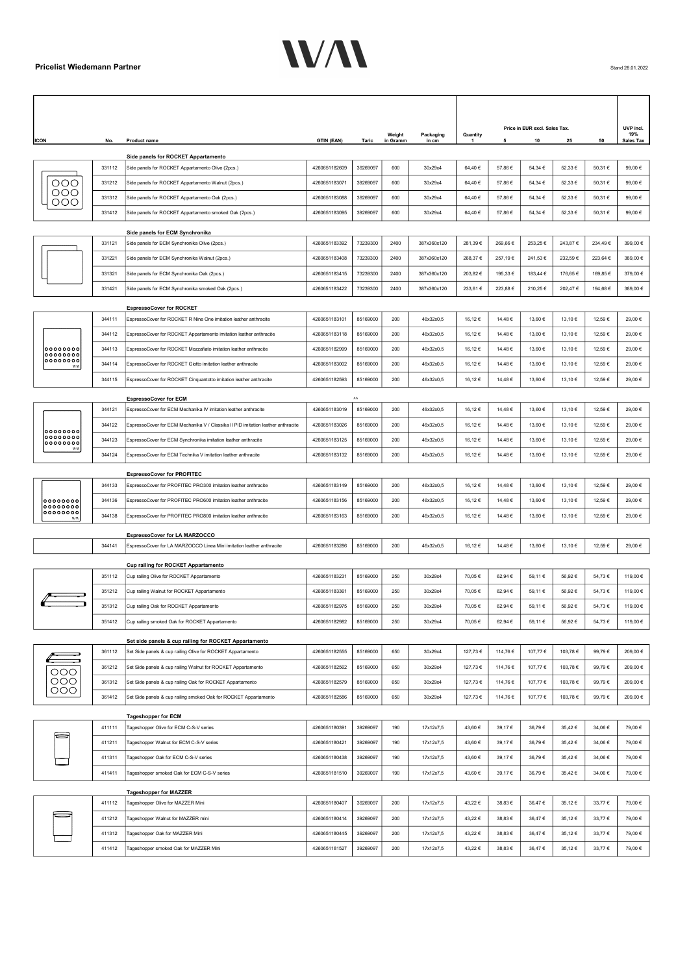| GTIN (EAN)<br>Taric<br>25<br>50<br>Sales Tax<br>No.<br>Product name<br>in Gramm<br>10<br>in cm<br>5<br>-1<br>Side panels for ROCKET Appartamento<br>331112<br>Side panels for ROCKET Appartamento Olive (2pcs.)<br>4260651182609<br>39269097<br>600<br>30x29x4<br>64,40 €<br>57,86 €<br>54,34 €<br>52,33 €<br>50,31 €<br>99,00€<br>OOC<br>331212<br>Side panels for ROCKET Appartamento Walnut (2pcs.)<br>4260651183071<br>39269097<br>600<br>30x29x4<br>64,40 €<br>57,86 €<br>54,34 €<br>52,33 €<br>50,31 €<br>99,00€<br>OOO<br>331312<br>600<br>64,40 €<br>57,86 €<br>52,33 €<br>Side panels for ROCKET Appartamento Oak (2pcs.)<br>4260651183088<br>39269097<br>30x29x4<br>54,34 €<br>50,31 €<br>99.00 €<br>OOO<br>331412<br>Side panels for ROCKET Appartamento smoked Oak (2pcs.)<br>4260651183095<br>39269097<br>600<br>30x29x4<br>64,40 €<br>57,86 €<br>54,34 €<br>52,33 €<br>50,31 €<br>99,00€<br>Side panels for ECM Synchronika<br>331121<br>73239300<br>2400<br>387x360x120<br>253,25€<br>243,87 €<br>234,49€<br>Side panels for ECM Synchronika Olive (2pcs.)<br>4260651183392<br>281,39 €<br>269,66 €<br>399,00 €<br>331221<br>4260651183408<br>73239300<br>2400<br>387x360x120<br>268,37€<br>257,19€<br>241,53 €<br>232,59€<br>223,64 €<br>389,00€<br>Side panels for ECM Synchronika Walnut (2pcs.)<br>331321<br>73239300<br>2400<br>387x360x120<br>203,82 €<br>195,33 €<br>183,44 €<br>176,65€<br>169,85€<br>Side panels for ECM Synchronika Oak (2pcs.)<br>4260651183415<br>379,00 €<br>331421<br>73239300<br>2400<br>387x360x120<br>233,61 €<br>223,88 €<br>210,25€<br>202,47 €<br>194,68 €<br>Side panels for ECM Synchronika smoked Oak (2pcs.)<br>4260651183422<br>389,00 €<br><b>EspressoCover for ROCKET</b><br>200<br>12,59 €<br>344111<br>EspressoCover for ROCKET R Nine One imitation leather anthracite<br>4260651183101<br>85169000<br>46x32x0,5<br>16,12 €<br>14,48 €<br>13,60 €<br>13,10 €<br>29,00 €<br>344112<br>85169000<br>200<br>46x32x0,5<br>16,12 €<br>14,48€<br>13,60 €<br>12,59 €<br>EspressoCover for ROCKET Appartamento imitation leather anthracite<br>4260651183118<br>13,10 €<br>29,00 €<br>00000000<br>14,48 €<br>344113<br>EspressoCover for ROCKET Mozzafiato imitation leather anthracite<br>4260651182999<br>85169000<br>200<br>46x32x0,5<br>16,12 €<br>13,60 €<br>13,10 €<br>12,59 €<br>29,00 €<br>00000000<br>00000000<br>344114<br>4260651183002<br>85169000<br>200<br>46x32x0,5<br>16,12 €<br>14,48€<br>13,60 €<br>13,10 €<br>12,59 €<br>29,00 €<br>EspressoCover for ROCKET Giotto imitation leather anthracite<br>WM<br>344115<br>EspressoCover for ROCKET Cinquantotto imitation leather anthracite<br>4260651182593<br>85169000<br>200<br>46x32x0,5<br>16,12 €<br>14,48 €<br>13,60 €<br>13,10 €<br>12,59 €<br>29,00 €<br><b>EspressoCover for ECM</b><br>344121<br>4260651183019<br>85169000<br>200<br>46x32x0,5<br>16,12 €<br>14,48€<br>13,60 €<br>13,10 €<br>12,59€<br>29,00 €<br>EspressoCover for ECM Mechanika IV imitation leather anthracite<br>344122<br>EspressoCover for ECM Mechanika V / Classika II PID imitation leather anthracite<br>85169000<br>200<br>46x32x0,5<br>16,12 €<br>14,48 €<br>13,60 €<br>13,10 €<br>12,59€<br>29,00 €<br>4260651183026<br>00000000<br>00000000<br>344123<br>4260651183125<br>85169000<br>200<br>46x32x0,5<br>16,12 €<br>14,48 €<br>13,60 €<br>13,10 €<br>12,59 €<br>29,00 €<br>EspressoCover for ECM Synchronika imitation leather anthracite<br>00000000<br>W1<br>14,48 €<br>344124<br>EspressoCover for ECM Technika V imitation leather anthracite<br>4260651183132<br>85169000<br>200<br>46x32x0,5<br>16,12 €<br>13,60 €<br>13,10 €<br>12,59 €<br>29,00€<br><b>EspressoCover for PROFITEC</b><br>344133<br>EspressoCover for PROFITEC PRO300 imitation leather anthracite<br>4260651183149<br>85169000<br>200<br>46x32x0,5<br>16,12€<br>14,48€<br>13,60 €<br>13,10 €<br>12,59€<br>29,00€<br>00000000<br>344136<br>EspressoCover for PROFITEC PRO600 imitation leather anthracite<br>4260651183156<br>85169000<br>200<br>46x32x0,5<br>16,12 €<br>14,48 €<br>13,60 €<br>13,10 €<br>12,59 €<br>29,00 €<br>00000000<br><b>。。。。。。。。。</b><br>200<br>14,48€<br>344138<br>EspressoCover for PROFITEC PRO800 imitation leather anthracite<br>4260651183163<br>85169000<br>46x32x0,5<br>16,12 €<br>13,60 €<br>13,10 €<br>12,59 €<br>29,00 €<br>W <sub>0</sub><br>EspressoCover for LA MARZOCCO<br>344141<br>EspressoCover for LA MARZOCCO Linea Mini imitation leather anthracite<br>4260651183286<br>85169000<br>200<br>46x32x0,5<br>16,12 €<br>14,48 €<br>13,60 €<br>13,10 €<br>12,59 €<br>29,00 €<br><b>Cup railing for ROCKET Appartamento</b><br>85169000<br>250<br>70,05€<br>351112<br>4260651183231<br>30x29x4<br>62,94€<br>59.11€<br>56,92€<br>54,73 €<br>119,00 €<br>Cup railing Olive for ROCKET Appartamento<br>351212<br>Cup railing Walnut for ROCKET Appartamento<br>4260651183361<br>85169000<br>250<br>30x29x4<br>70,05€<br>62,94 €<br>59,11€<br>56,92€<br>54,73€<br>119,00€<br>351312<br>Cup railing Oak for ROCKET Appartamento<br>4260651182975<br>85169000<br>250<br>30x29x4<br>70,05€<br>62,94€<br>59,11€<br>56,92€<br>54,73€<br>119,00 €<br>4260651182982<br>85169000<br>250<br>54,73 €<br>119,00 €<br>351412<br>Cup railing smoked Oak for ROCKET Appartamento<br>30x29x4<br>70,05€<br>62,94€<br>59,11€<br>56,92€<br>Set side panels & cup railing for ROCKET Appartamento<br>361112<br>Set Side panels & cup railing Olive for ROCKET Appartamento<br>4260651182555<br>85169000<br>650<br>30x29x4<br>127,73€<br>114,76€<br>107,77€<br>103,78 €<br>99,79€<br>209,00€<br>361212<br>Set Side panels & cup railing Walnut for ROCKET Appartamento<br>4260651182562<br>85169000<br>650<br>30x29x4<br>127,73 €<br>114,76 €<br>107,77 €<br>103,78 €<br>99,79€<br>209,00 €<br>000<br>000<br>361312<br>85169000<br>650<br>127,73 €<br>114,76€<br>107,77€<br>103,78 €<br>Set Side panels & cup railing Oak for ROCKET Appartamento<br>4260651182579<br>30x29x4<br>99,79€<br>209,00 €<br>OOO<br>361412<br>4260651182586<br>85169000<br>650<br>30x29x4<br>127,73 €<br>114,76€<br>107,77€<br>103,78 €<br>99,79€<br>209,00€<br>Set Side panels & cup railing smoked Oak for ROCKET Appartamento<br><b>Tageshopper for ECM</b><br>411111<br>4260651180391<br>39269097<br>190<br>17x12x7,5<br>43,60 €<br>39,17€<br>36,79€<br>35,42€<br>34,06 €<br>Tageshopper Olive for ECM C-S-V series<br>79,00 €<br>411211<br>39269097<br>190<br>17x12x7,5<br>43,60 €<br>39,17 €<br>36,79€<br>35,42 €<br>Tageshopper Walnut for ECM C-S-V series<br>4260651180421<br>34,06 €<br>79,00 €<br>411311<br>4260651180438<br>39269097<br>190<br>17x12x7,5<br>43,60 €<br>39,17€<br>36,79€<br>35,42 €<br>34,06 €<br>79,00 €<br>Tageshopper Oak for ECM C-S-V series<br>411411<br>4260651181510<br>39269097<br>190<br>17x12x7,5<br>43,60 €<br>39,17€<br>36,79€<br>35,42 €<br>34,06 €<br>79,00 €<br>Tageshopper smoked Oak for ECM C-S-V series<br><b>Tageshopper for MAZZER</b><br>411112<br>Tageshopper Olive for MAZZER Mini<br>4260651180407<br>39269097<br>200<br>17x12x7,5<br>43,22 €<br>38,83 €<br>36,47€<br>35,12€<br>33,77€<br>79,00 €<br>411212<br>4260651180414<br>39269097<br>200<br>17x12x7,5<br>43,22 €<br>38,83 €<br>36,47€<br>35,12€<br>33,77 €<br>79,00 €<br>Tageshopper Walnut for MAZZER mini<br>200<br>43,22 €<br>411312<br>Tageshopper Oak for MAZZER Mini<br>4260651180445<br>39269097<br>17x12x7,5<br>38,83 €<br>36,47€<br>35,12€<br>33,77 €<br>79,00 €<br>411412<br>39269097<br>200<br>17x12x7,5<br>43,22 €<br>38,83 €<br>36,47€<br>35,12€<br>33,77 €<br>79,00 €<br>Tageshopper smoked Oak for MAZZER Mini<br>4260651181527 |             |  |  |  |        |           | Price in EUR excl. Sales Tax. |  |  | UVP incl. |     |
|---------------------------------------------------------------------------------------------------------------------------------------------------------------------------------------------------------------------------------------------------------------------------------------------------------------------------------------------------------------------------------------------------------------------------------------------------------------------------------------------------------------------------------------------------------------------------------------------------------------------------------------------------------------------------------------------------------------------------------------------------------------------------------------------------------------------------------------------------------------------------------------------------------------------------------------------------------------------------------------------------------------------------------------------------------------------------------------------------------------------------------------------------------------------------------------------------------------------------------------------------------------------------------------------------------------------------------------------------------------------------------------------------------------------------------------------------------------------------------------------------------------------------------------------------------------------------------------------------------------------------------------------------------------------------------------------------------------------------------------------------------------------------------------------------------------------------------------------------------------------------------------------------------------------------------------------------------------------------------------------------------------------------------------------------------------------------------------------------------------------------------------------------------------------------------------------------------------------------------------------------------------------------------------------------------------------------------------------------------------------------------------------------------------------------------------------------------------------------------------------------------------------------------------------------------------------------------------------------------------------------------------------------------------------------------------------------------------------------------------------------------------------------------------------------------------------------------------------------------------------------------------------------------------------------------------------------------------------------------------------------------------------------------------------------------------------------------------------------------------------------------------------------------------------------------------------------------------------------------------------------------------------------------------------------------------------------------------------------------------------------------------------------------------------------------------------------------------------------------------------------------------------------------------------------------------------------------------------------------------------------------------------------------------------------------------------------------------------------------------------------------------------------------------------------------------------------------------------------------------------------------------------------------------------------------------------------------------------------------------------------------------------------------------------------------------------------------------------------------------------------------------------------------------------------------------------------------------------------------------------------------------------------------------------------------------------------------------------------------------------------------------------------------------------------------------------------------------------------------------------------------------------------------------------------------------------------------------------------------------------------------------------------------------------------------------------------------------------------------------------------------------------------------------------------------------------------------------------------------------------------------------------------------------------------------------------------------------------------------------------------------------------------------------------------------------------------------------------------------------------------------------------------------------------------------------------------------------------------------------------------------------------------------------------------------------------------------------------------------------------------------------------------------------------------------------------------------------------------------------------------------------------------------------------------------------------------------------------------------------------------------------------------------------------------------------------------------------------------------------------------------------------------------------------------------------------------------------------------------------------------------------------------------------------------------------------------------------------------------------------------------------------------------------------------------------------------------------------------------------------------------------------------------------------------------------------------------------------------------------------------------------------------------------------------------------------------------------------------------------------------------------------------------------------------------------------------------------------------------------------------------------------------------------------------------------------------------------------------------------------------------------------------------------------------------------------------------------------------------------------------------------------------------------------------------------------------------------------------------------------------------------------------------------------------------------------------------------------------------------------------------------------------------------------------------------------------------------------------------------------------------------------------------------------------------------------------------------------------------------------------------------------------------------------------------------------------------------------------------------------------------------------------------------------------------------------------------------------------------------------------------------------------------------------------------------------------------------------------------------------------------------|-------------|--|--|--|--------|-----------|-------------------------------|--|--|-----------|-----|
|                                                                                                                                                                                                                                                                                                                                                                                                                                                                                                                                                                                                                                                                                                                                                                                                                                                                                                                                                                                                                                                                                                                                                                                                                                                                                                                                                                                                                                                                                                                                                                                                                                                                                                                                                                                                                                                                                                                                                                                                                                                                                                                                                                                                                                                                                                                                                                                                                                                                                                                                                                                                                                                                                                                                                                                                                                                                                                                                                                                                                                                                                                                                                                                                                                                                                                                                                                                                                                                                                                                                                                                                                                                                                                                                                                                                                                                                                                                                                                                                                                                                                                                                                                                                                                                                                                                                                                                                                                                                                                                                                                                                                                                                                                                                                                                                                                                                                                                                                                                                                                                                                                                                                                                                                                                                                                                                                                                                                                                                                                                                                                                                                                                                                                                                                                                                                                                                                                                                                                                                                                                                                                                                                                                                                                                                                                                                                                                                                                                                                                                                                                                                                                                                                                                                                                                                                                                                                                                                                                                                                                                                                                                                                                                                                                                                                                                                                                                                                                                                                                                                                                                                                                       | <b>ICON</b> |  |  |  | Weight | Packaging | Quantity                      |  |  |           | 19% |
|                                                                                                                                                                                                                                                                                                                                                                                                                                                                                                                                                                                                                                                                                                                                                                                                                                                                                                                                                                                                                                                                                                                                                                                                                                                                                                                                                                                                                                                                                                                                                                                                                                                                                                                                                                                                                                                                                                                                                                                                                                                                                                                                                                                                                                                                                                                                                                                                                                                                                                                                                                                                                                                                                                                                                                                                                                                                                                                                                                                                                                                                                                                                                                                                                                                                                                                                                                                                                                                                                                                                                                                                                                                                                                                                                                                                                                                                                                                                                                                                                                                                                                                                                                                                                                                                                                                                                                                                                                                                                                                                                                                                                                                                                                                                                                                                                                                                                                                                                                                                                                                                                                                                                                                                                                                                                                                                                                                                                                                                                                                                                                                                                                                                                                                                                                                                                                                                                                                                                                                                                                                                                                                                                                                                                                                                                                                                                                                                                                                                                                                                                                                                                                                                                                                                                                                                                                                                                                                                                                                                                                                                                                                                                                                                                                                                                                                                                                                                                                                                                                                                                                                                                                       |             |  |  |  |        |           |                               |  |  |           |     |
|                                                                                                                                                                                                                                                                                                                                                                                                                                                                                                                                                                                                                                                                                                                                                                                                                                                                                                                                                                                                                                                                                                                                                                                                                                                                                                                                                                                                                                                                                                                                                                                                                                                                                                                                                                                                                                                                                                                                                                                                                                                                                                                                                                                                                                                                                                                                                                                                                                                                                                                                                                                                                                                                                                                                                                                                                                                                                                                                                                                                                                                                                                                                                                                                                                                                                                                                                                                                                                                                                                                                                                                                                                                                                                                                                                                                                                                                                                                                                                                                                                                                                                                                                                                                                                                                                                                                                                                                                                                                                                                                                                                                                                                                                                                                                                                                                                                                                                                                                                                                                                                                                                                                                                                                                                                                                                                                                                                                                                                                                                                                                                                                                                                                                                                                                                                                                                                                                                                                                                                                                                                                                                                                                                                                                                                                                                                                                                                                                                                                                                                                                                                                                                                                                                                                                                                                                                                                                                                                                                                                                                                                                                                                                                                                                                                                                                                                                                                                                                                                                                                                                                                                                                       |             |  |  |  |        |           |                               |  |  |           |     |
|                                                                                                                                                                                                                                                                                                                                                                                                                                                                                                                                                                                                                                                                                                                                                                                                                                                                                                                                                                                                                                                                                                                                                                                                                                                                                                                                                                                                                                                                                                                                                                                                                                                                                                                                                                                                                                                                                                                                                                                                                                                                                                                                                                                                                                                                                                                                                                                                                                                                                                                                                                                                                                                                                                                                                                                                                                                                                                                                                                                                                                                                                                                                                                                                                                                                                                                                                                                                                                                                                                                                                                                                                                                                                                                                                                                                                                                                                                                                                                                                                                                                                                                                                                                                                                                                                                                                                                                                                                                                                                                                                                                                                                                                                                                                                                                                                                                                                                                                                                                                                                                                                                                                                                                                                                                                                                                                                                                                                                                                                                                                                                                                                                                                                                                                                                                                                                                                                                                                                                                                                                                                                                                                                                                                                                                                                                                                                                                                                                                                                                                                                                                                                                                                                                                                                                                                                                                                                                                                                                                                                                                                                                                                                                                                                                                                                                                                                                                                                                                                                                                                                                                                                                       |             |  |  |  |        |           |                               |  |  |           |     |
|                                                                                                                                                                                                                                                                                                                                                                                                                                                                                                                                                                                                                                                                                                                                                                                                                                                                                                                                                                                                                                                                                                                                                                                                                                                                                                                                                                                                                                                                                                                                                                                                                                                                                                                                                                                                                                                                                                                                                                                                                                                                                                                                                                                                                                                                                                                                                                                                                                                                                                                                                                                                                                                                                                                                                                                                                                                                                                                                                                                                                                                                                                                                                                                                                                                                                                                                                                                                                                                                                                                                                                                                                                                                                                                                                                                                                                                                                                                                                                                                                                                                                                                                                                                                                                                                                                                                                                                                                                                                                                                                                                                                                                                                                                                                                                                                                                                                                                                                                                                                                                                                                                                                                                                                                                                                                                                                                                                                                                                                                                                                                                                                                                                                                                                                                                                                                                                                                                                                                                                                                                                                                                                                                                                                                                                                                                                                                                                                                                                                                                                                                                                                                                                                                                                                                                                                                                                                                                                                                                                                                                                                                                                                                                                                                                                                                                                                                                                                                                                                                                                                                                                                                                       |             |  |  |  |        |           |                               |  |  |           |     |
|                                                                                                                                                                                                                                                                                                                                                                                                                                                                                                                                                                                                                                                                                                                                                                                                                                                                                                                                                                                                                                                                                                                                                                                                                                                                                                                                                                                                                                                                                                                                                                                                                                                                                                                                                                                                                                                                                                                                                                                                                                                                                                                                                                                                                                                                                                                                                                                                                                                                                                                                                                                                                                                                                                                                                                                                                                                                                                                                                                                                                                                                                                                                                                                                                                                                                                                                                                                                                                                                                                                                                                                                                                                                                                                                                                                                                                                                                                                                                                                                                                                                                                                                                                                                                                                                                                                                                                                                                                                                                                                                                                                                                                                                                                                                                                                                                                                                                                                                                                                                                                                                                                                                                                                                                                                                                                                                                                                                                                                                                                                                                                                                                                                                                                                                                                                                                                                                                                                                                                                                                                                                                                                                                                                                                                                                                                                                                                                                                                                                                                                                                                                                                                                                                                                                                                                                                                                                                                                                                                                                                                                                                                                                                                                                                                                                                                                                                                                                                                                                                                                                                                                                                                       |             |  |  |  |        |           |                               |  |  |           |     |
|                                                                                                                                                                                                                                                                                                                                                                                                                                                                                                                                                                                                                                                                                                                                                                                                                                                                                                                                                                                                                                                                                                                                                                                                                                                                                                                                                                                                                                                                                                                                                                                                                                                                                                                                                                                                                                                                                                                                                                                                                                                                                                                                                                                                                                                                                                                                                                                                                                                                                                                                                                                                                                                                                                                                                                                                                                                                                                                                                                                                                                                                                                                                                                                                                                                                                                                                                                                                                                                                                                                                                                                                                                                                                                                                                                                                                                                                                                                                                                                                                                                                                                                                                                                                                                                                                                                                                                                                                                                                                                                                                                                                                                                                                                                                                                                                                                                                                                                                                                                                                                                                                                                                                                                                                                                                                                                                                                                                                                                                                                                                                                                                                                                                                                                                                                                                                                                                                                                                                                                                                                                                                                                                                                                                                                                                                                                                                                                                                                                                                                                                                                                                                                                                                                                                                                                                                                                                                                                                                                                                                                                                                                                                                                                                                                                                                                                                                                                                                                                                                                                                                                                                                                       |             |  |  |  |        |           |                               |  |  |           |     |
|                                                                                                                                                                                                                                                                                                                                                                                                                                                                                                                                                                                                                                                                                                                                                                                                                                                                                                                                                                                                                                                                                                                                                                                                                                                                                                                                                                                                                                                                                                                                                                                                                                                                                                                                                                                                                                                                                                                                                                                                                                                                                                                                                                                                                                                                                                                                                                                                                                                                                                                                                                                                                                                                                                                                                                                                                                                                                                                                                                                                                                                                                                                                                                                                                                                                                                                                                                                                                                                                                                                                                                                                                                                                                                                                                                                                                                                                                                                                                                                                                                                                                                                                                                                                                                                                                                                                                                                                                                                                                                                                                                                                                                                                                                                                                                                                                                                                                                                                                                                                                                                                                                                                                                                                                                                                                                                                                                                                                                                                                                                                                                                                                                                                                                                                                                                                                                                                                                                                                                                                                                                                                                                                                                                                                                                                                                                                                                                                                                                                                                                                                                                                                                                                                                                                                                                                                                                                                                                                                                                                                                                                                                                                                                                                                                                                                                                                                                                                                                                                                                                                                                                                                                       |             |  |  |  |        |           |                               |  |  |           |     |
|                                                                                                                                                                                                                                                                                                                                                                                                                                                                                                                                                                                                                                                                                                                                                                                                                                                                                                                                                                                                                                                                                                                                                                                                                                                                                                                                                                                                                                                                                                                                                                                                                                                                                                                                                                                                                                                                                                                                                                                                                                                                                                                                                                                                                                                                                                                                                                                                                                                                                                                                                                                                                                                                                                                                                                                                                                                                                                                                                                                                                                                                                                                                                                                                                                                                                                                                                                                                                                                                                                                                                                                                                                                                                                                                                                                                                                                                                                                                                                                                                                                                                                                                                                                                                                                                                                                                                                                                                                                                                                                                                                                                                                                                                                                                                                                                                                                                                                                                                                                                                                                                                                                                                                                                                                                                                                                                                                                                                                                                                                                                                                                                                                                                                                                                                                                                                                                                                                                                                                                                                                                                                                                                                                                                                                                                                                                                                                                                                                                                                                                                                                                                                                                                                                                                                                                                                                                                                                                                                                                                                                                                                                                                                                                                                                                                                                                                                                                                                                                                                                                                                                                                                                       |             |  |  |  |        |           |                               |  |  |           |     |
|                                                                                                                                                                                                                                                                                                                                                                                                                                                                                                                                                                                                                                                                                                                                                                                                                                                                                                                                                                                                                                                                                                                                                                                                                                                                                                                                                                                                                                                                                                                                                                                                                                                                                                                                                                                                                                                                                                                                                                                                                                                                                                                                                                                                                                                                                                                                                                                                                                                                                                                                                                                                                                                                                                                                                                                                                                                                                                                                                                                                                                                                                                                                                                                                                                                                                                                                                                                                                                                                                                                                                                                                                                                                                                                                                                                                                                                                                                                                                                                                                                                                                                                                                                                                                                                                                                                                                                                                                                                                                                                                                                                                                                                                                                                                                                                                                                                                                                                                                                                                                                                                                                                                                                                                                                                                                                                                                                                                                                                                                                                                                                                                                                                                                                                                                                                                                                                                                                                                                                                                                                                                                                                                                                                                                                                                                                                                                                                                                                                                                                                                                                                                                                                                                                                                                                                                                                                                                                                                                                                                                                                                                                                                                                                                                                                                                                                                                                                                                                                                                                                                                                                                                                       |             |  |  |  |        |           |                               |  |  |           |     |
|                                                                                                                                                                                                                                                                                                                                                                                                                                                                                                                                                                                                                                                                                                                                                                                                                                                                                                                                                                                                                                                                                                                                                                                                                                                                                                                                                                                                                                                                                                                                                                                                                                                                                                                                                                                                                                                                                                                                                                                                                                                                                                                                                                                                                                                                                                                                                                                                                                                                                                                                                                                                                                                                                                                                                                                                                                                                                                                                                                                                                                                                                                                                                                                                                                                                                                                                                                                                                                                                                                                                                                                                                                                                                                                                                                                                                                                                                                                                                                                                                                                                                                                                                                                                                                                                                                                                                                                                                                                                                                                                                                                                                                                                                                                                                                                                                                                                                                                                                                                                                                                                                                                                                                                                                                                                                                                                                                                                                                                                                                                                                                                                                                                                                                                                                                                                                                                                                                                                                                                                                                                                                                                                                                                                                                                                                                                                                                                                                                                                                                                                                                                                                                                                                                                                                                                                                                                                                                                                                                                                                                                                                                                                                                                                                                                                                                                                                                                                                                                                                                                                                                                                                                       |             |  |  |  |        |           |                               |  |  |           |     |
|                                                                                                                                                                                                                                                                                                                                                                                                                                                                                                                                                                                                                                                                                                                                                                                                                                                                                                                                                                                                                                                                                                                                                                                                                                                                                                                                                                                                                                                                                                                                                                                                                                                                                                                                                                                                                                                                                                                                                                                                                                                                                                                                                                                                                                                                                                                                                                                                                                                                                                                                                                                                                                                                                                                                                                                                                                                                                                                                                                                                                                                                                                                                                                                                                                                                                                                                                                                                                                                                                                                                                                                                                                                                                                                                                                                                                                                                                                                                                                                                                                                                                                                                                                                                                                                                                                                                                                                                                                                                                                                                                                                                                                                                                                                                                                                                                                                                                                                                                                                                                                                                                                                                                                                                                                                                                                                                                                                                                                                                                                                                                                                                                                                                                                                                                                                                                                                                                                                                                                                                                                                                                                                                                                                                                                                                                                                                                                                                                                                                                                                                                                                                                                                                                                                                                                                                                                                                                                                                                                                                                                                                                                                                                                                                                                                                                                                                                                                                                                                                                                                                                                                                                                       |             |  |  |  |        |           |                               |  |  |           |     |
|                                                                                                                                                                                                                                                                                                                                                                                                                                                                                                                                                                                                                                                                                                                                                                                                                                                                                                                                                                                                                                                                                                                                                                                                                                                                                                                                                                                                                                                                                                                                                                                                                                                                                                                                                                                                                                                                                                                                                                                                                                                                                                                                                                                                                                                                                                                                                                                                                                                                                                                                                                                                                                                                                                                                                                                                                                                                                                                                                                                                                                                                                                                                                                                                                                                                                                                                                                                                                                                                                                                                                                                                                                                                                                                                                                                                                                                                                                                                                                                                                                                                                                                                                                                                                                                                                                                                                                                                                                                                                                                                                                                                                                                                                                                                                                                                                                                                                                                                                                                                                                                                                                                                                                                                                                                                                                                                                                                                                                                                                                                                                                                                                                                                                                                                                                                                                                                                                                                                                                                                                                                                                                                                                                                                                                                                                                                                                                                                                                                                                                                                                                                                                                                                                                                                                                                                                                                                                                                                                                                                                                                                                                                                                                                                                                                                                                                                                                                                                                                                                                                                                                                                                                       |             |  |  |  |        |           |                               |  |  |           |     |
|                                                                                                                                                                                                                                                                                                                                                                                                                                                                                                                                                                                                                                                                                                                                                                                                                                                                                                                                                                                                                                                                                                                                                                                                                                                                                                                                                                                                                                                                                                                                                                                                                                                                                                                                                                                                                                                                                                                                                                                                                                                                                                                                                                                                                                                                                                                                                                                                                                                                                                                                                                                                                                                                                                                                                                                                                                                                                                                                                                                                                                                                                                                                                                                                                                                                                                                                                                                                                                                                                                                                                                                                                                                                                                                                                                                                                                                                                                                                                                                                                                                                                                                                                                                                                                                                                                                                                                                                                                                                                                                                                                                                                                                                                                                                                                                                                                                                                                                                                                                                                                                                                                                                                                                                                                                                                                                                                                                                                                                                                                                                                                                                                                                                                                                                                                                                                                                                                                                                                                                                                                                                                                                                                                                                                                                                                                                                                                                                                                                                                                                                                                                                                                                                                                                                                                                                                                                                                                                                                                                                                                                                                                                                                                                                                                                                                                                                                                                                                                                                                                                                                                                                                                       |             |  |  |  |        |           |                               |  |  |           |     |
|                                                                                                                                                                                                                                                                                                                                                                                                                                                                                                                                                                                                                                                                                                                                                                                                                                                                                                                                                                                                                                                                                                                                                                                                                                                                                                                                                                                                                                                                                                                                                                                                                                                                                                                                                                                                                                                                                                                                                                                                                                                                                                                                                                                                                                                                                                                                                                                                                                                                                                                                                                                                                                                                                                                                                                                                                                                                                                                                                                                                                                                                                                                                                                                                                                                                                                                                                                                                                                                                                                                                                                                                                                                                                                                                                                                                                                                                                                                                                                                                                                                                                                                                                                                                                                                                                                                                                                                                                                                                                                                                                                                                                                                                                                                                                                                                                                                                                                                                                                                                                                                                                                                                                                                                                                                                                                                                                                                                                                                                                                                                                                                                                                                                                                                                                                                                                                                                                                                                                                                                                                                                                                                                                                                                                                                                                                                                                                                                                                                                                                                                                                                                                                                                                                                                                                                                                                                                                                                                                                                                                                                                                                                                                                                                                                                                                                                                                                                                                                                                                                                                                                                                                                       |             |  |  |  |        |           |                               |  |  |           |     |
|                                                                                                                                                                                                                                                                                                                                                                                                                                                                                                                                                                                                                                                                                                                                                                                                                                                                                                                                                                                                                                                                                                                                                                                                                                                                                                                                                                                                                                                                                                                                                                                                                                                                                                                                                                                                                                                                                                                                                                                                                                                                                                                                                                                                                                                                                                                                                                                                                                                                                                                                                                                                                                                                                                                                                                                                                                                                                                                                                                                                                                                                                                                                                                                                                                                                                                                                                                                                                                                                                                                                                                                                                                                                                                                                                                                                                                                                                                                                                                                                                                                                                                                                                                                                                                                                                                                                                                                                                                                                                                                                                                                                                                                                                                                                                                                                                                                                                                                                                                                                                                                                                                                                                                                                                                                                                                                                                                                                                                                                                                                                                                                                                                                                                                                                                                                                                                                                                                                                                                                                                                                                                                                                                                                                                                                                                                                                                                                                                                                                                                                                                                                                                                                                                                                                                                                                                                                                                                                                                                                                                                                                                                                                                                                                                                                                                                                                                                                                                                                                                                                                                                                                                                       |             |  |  |  |        |           |                               |  |  |           |     |
|                                                                                                                                                                                                                                                                                                                                                                                                                                                                                                                                                                                                                                                                                                                                                                                                                                                                                                                                                                                                                                                                                                                                                                                                                                                                                                                                                                                                                                                                                                                                                                                                                                                                                                                                                                                                                                                                                                                                                                                                                                                                                                                                                                                                                                                                                                                                                                                                                                                                                                                                                                                                                                                                                                                                                                                                                                                                                                                                                                                                                                                                                                                                                                                                                                                                                                                                                                                                                                                                                                                                                                                                                                                                                                                                                                                                                                                                                                                                                                                                                                                                                                                                                                                                                                                                                                                                                                                                                                                                                                                                                                                                                                                                                                                                                                                                                                                                                                                                                                                                                                                                                                                                                                                                                                                                                                                                                                                                                                                                                                                                                                                                                                                                                                                                                                                                                                                                                                                                                                                                                                                                                                                                                                                                                                                                                                                                                                                                                                                                                                                                                                                                                                                                                                                                                                                                                                                                                                                                                                                                                                                                                                                                                                                                                                                                                                                                                                                                                                                                                                                                                                                                                                       |             |  |  |  |        |           |                               |  |  |           |     |
|                                                                                                                                                                                                                                                                                                                                                                                                                                                                                                                                                                                                                                                                                                                                                                                                                                                                                                                                                                                                                                                                                                                                                                                                                                                                                                                                                                                                                                                                                                                                                                                                                                                                                                                                                                                                                                                                                                                                                                                                                                                                                                                                                                                                                                                                                                                                                                                                                                                                                                                                                                                                                                                                                                                                                                                                                                                                                                                                                                                                                                                                                                                                                                                                                                                                                                                                                                                                                                                                                                                                                                                                                                                                                                                                                                                                                                                                                                                                                                                                                                                                                                                                                                                                                                                                                                                                                                                                                                                                                                                                                                                                                                                                                                                                                                                                                                                                                                                                                                                                                                                                                                                                                                                                                                                                                                                                                                                                                                                                                                                                                                                                                                                                                                                                                                                                                                                                                                                                                                                                                                                                                                                                                                                                                                                                                                                                                                                                                                                                                                                                                                                                                                                                                                                                                                                                                                                                                                                                                                                                                                                                                                                                                                                                                                                                                                                                                                                                                                                                                                                                                                                                                                       |             |  |  |  |        |           |                               |  |  |           |     |
|                                                                                                                                                                                                                                                                                                                                                                                                                                                                                                                                                                                                                                                                                                                                                                                                                                                                                                                                                                                                                                                                                                                                                                                                                                                                                                                                                                                                                                                                                                                                                                                                                                                                                                                                                                                                                                                                                                                                                                                                                                                                                                                                                                                                                                                                                                                                                                                                                                                                                                                                                                                                                                                                                                                                                                                                                                                                                                                                                                                                                                                                                                                                                                                                                                                                                                                                                                                                                                                                                                                                                                                                                                                                                                                                                                                                                                                                                                                                                                                                                                                                                                                                                                                                                                                                                                                                                                                                                                                                                                                                                                                                                                                                                                                                                                                                                                                                                                                                                                                                                                                                                                                                                                                                                                                                                                                                                                                                                                                                                                                                                                                                                                                                                                                                                                                                                                                                                                                                                                                                                                                                                                                                                                                                                                                                                                                                                                                                                                                                                                                                                                                                                                                                                                                                                                                                                                                                                                                                                                                                                                                                                                                                                                                                                                                                                                                                                                                                                                                                                                                                                                                                                                       |             |  |  |  |        |           |                               |  |  |           |     |
|                                                                                                                                                                                                                                                                                                                                                                                                                                                                                                                                                                                                                                                                                                                                                                                                                                                                                                                                                                                                                                                                                                                                                                                                                                                                                                                                                                                                                                                                                                                                                                                                                                                                                                                                                                                                                                                                                                                                                                                                                                                                                                                                                                                                                                                                                                                                                                                                                                                                                                                                                                                                                                                                                                                                                                                                                                                                                                                                                                                                                                                                                                                                                                                                                                                                                                                                                                                                                                                                                                                                                                                                                                                                                                                                                                                                                                                                                                                                                                                                                                                                                                                                                                                                                                                                                                                                                                                                                                                                                                                                                                                                                                                                                                                                                                                                                                                                                                                                                                                                                                                                                                                                                                                                                                                                                                                                                                                                                                                                                                                                                                                                                                                                                                                                                                                                                                                                                                                                                                                                                                                                                                                                                                                                                                                                                                                                                                                                                                                                                                                                                                                                                                                                                                                                                                                                                                                                                                                                                                                                                                                                                                                                                                                                                                                                                                                                                                                                                                                                                                                                                                                                                                       |             |  |  |  |        |           |                               |  |  |           |     |
|                                                                                                                                                                                                                                                                                                                                                                                                                                                                                                                                                                                                                                                                                                                                                                                                                                                                                                                                                                                                                                                                                                                                                                                                                                                                                                                                                                                                                                                                                                                                                                                                                                                                                                                                                                                                                                                                                                                                                                                                                                                                                                                                                                                                                                                                                                                                                                                                                                                                                                                                                                                                                                                                                                                                                                                                                                                                                                                                                                                                                                                                                                                                                                                                                                                                                                                                                                                                                                                                                                                                                                                                                                                                                                                                                                                                                                                                                                                                                                                                                                                                                                                                                                                                                                                                                                                                                                                                                                                                                                                                                                                                                                                                                                                                                                                                                                                                                                                                                                                                                                                                                                                                                                                                                                                                                                                                                                                                                                                                                                                                                                                                                                                                                                                                                                                                                                                                                                                                                                                                                                                                                                                                                                                                                                                                                                                                                                                                                                                                                                                                                                                                                                                                                                                                                                                                                                                                                                                                                                                                                                                                                                                                                                                                                                                                                                                                                                                                                                                                                                                                                                                                                                       |             |  |  |  |        |           |                               |  |  |           |     |
|                                                                                                                                                                                                                                                                                                                                                                                                                                                                                                                                                                                                                                                                                                                                                                                                                                                                                                                                                                                                                                                                                                                                                                                                                                                                                                                                                                                                                                                                                                                                                                                                                                                                                                                                                                                                                                                                                                                                                                                                                                                                                                                                                                                                                                                                                                                                                                                                                                                                                                                                                                                                                                                                                                                                                                                                                                                                                                                                                                                                                                                                                                                                                                                                                                                                                                                                                                                                                                                                                                                                                                                                                                                                                                                                                                                                                                                                                                                                                                                                                                                                                                                                                                                                                                                                                                                                                                                                                                                                                                                                                                                                                                                                                                                                                                                                                                                                                                                                                                                                                                                                                                                                                                                                                                                                                                                                                                                                                                                                                                                                                                                                                                                                                                                                                                                                                                                                                                                                                                                                                                                                                                                                                                                                                                                                                                                                                                                                                                                                                                                                                                                                                                                                                                                                                                                                                                                                                                                                                                                                                                                                                                                                                                                                                                                                                                                                                                                                                                                                                                                                                                                                                                       |             |  |  |  |        |           |                               |  |  |           |     |
|                                                                                                                                                                                                                                                                                                                                                                                                                                                                                                                                                                                                                                                                                                                                                                                                                                                                                                                                                                                                                                                                                                                                                                                                                                                                                                                                                                                                                                                                                                                                                                                                                                                                                                                                                                                                                                                                                                                                                                                                                                                                                                                                                                                                                                                                                                                                                                                                                                                                                                                                                                                                                                                                                                                                                                                                                                                                                                                                                                                                                                                                                                                                                                                                                                                                                                                                                                                                                                                                                                                                                                                                                                                                                                                                                                                                                                                                                                                                                                                                                                                                                                                                                                                                                                                                                                                                                                                                                                                                                                                                                                                                                                                                                                                                                                                                                                                                                                                                                                                                                                                                                                                                                                                                                                                                                                                                                                                                                                                                                                                                                                                                                                                                                                                                                                                                                                                                                                                                                                                                                                                                                                                                                                                                                                                                                                                                                                                                                                                                                                                                                                                                                                                                                                                                                                                                                                                                                                                                                                                                                                                                                                                                                                                                                                                                                                                                                                                                                                                                                                                                                                                                                                       |             |  |  |  |        |           |                               |  |  |           |     |
|                                                                                                                                                                                                                                                                                                                                                                                                                                                                                                                                                                                                                                                                                                                                                                                                                                                                                                                                                                                                                                                                                                                                                                                                                                                                                                                                                                                                                                                                                                                                                                                                                                                                                                                                                                                                                                                                                                                                                                                                                                                                                                                                                                                                                                                                                                                                                                                                                                                                                                                                                                                                                                                                                                                                                                                                                                                                                                                                                                                                                                                                                                                                                                                                                                                                                                                                                                                                                                                                                                                                                                                                                                                                                                                                                                                                                                                                                                                                                                                                                                                                                                                                                                                                                                                                                                                                                                                                                                                                                                                                                                                                                                                                                                                                                                                                                                                                                                                                                                                                                                                                                                                                                                                                                                                                                                                                                                                                                                                                                                                                                                                                                                                                                                                                                                                                                                                                                                                                                                                                                                                                                                                                                                                                                                                                                                                                                                                                                                                                                                                                                                                                                                                                                                                                                                                                                                                                                                                                                                                                                                                                                                                                                                                                                                                                                                                                                                                                                                                                                                                                                                                                                                       |             |  |  |  |        |           |                               |  |  |           |     |
|                                                                                                                                                                                                                                                                                                                                                                                                                                                                                                                                                                                                                                                                                                                                                                                                                                                                                                                                                                                                                                                                                                                                                                                                                                                                                                                                                                                                                                                                                                                                                                                                                                                                                                                                                                                                                                                                                                                                                                                                                                                                                                                                                                                                                                                                                                                                                                                                                                                                                                                                                                                                                                                                                                                                                                                                                                                                                                                                                                                                                                                                                                                                                                                                                                                                                                                                                                                                                                                                                                                                                                                                                                                                                                                                                                                                                                                                                                                                                                                                                                                                                                                                                                                                                                                                                                                                                                                                                                                                                                                                                                                                                                                                                                                                                                                                                                                                                                                                                                                                                                                                                                                                                                                                                                                                                                                                                                                                                                                                                                                                                                                                                                                                                                                                                                                                                                                                                                                                                                                                                                                                                                                                                                                                                                                                                                                                                                                                                                                                                                                                                                                                                                                                                                                                                                                                                                                                                                                                                                                                                                                                                                                                                                                                                                                                                                                                                                                                                                                                                                                                                                                                                                       |             |  |  |  |        |           |                               |  |  |           |     |
|                                                                                                                                                                                                                                                                                                                                                                                                                                                                                                                                                                                                                                                                                                                                                                                                                                                                                                                                                                                                                                                                                                                                                                                                                                                                                                                                                                                                                                                                                                                                                                                                                                                                                                                                                                                                                                                                                                                                                                                                                                                                                                                                                                                                                                                                                                                                                                                                                                                                                                                                                                                                                                                                                                                                                                                                                                                                                                                                                                                                                                                                                                                                                                                                                                                                                                                                                                                                                                                                                                                                                                                                                                                                                                                                                                                                                                                                                                                                                                                                                                                                                                                                                                                                                                                                                                                                                                                                                                                                                                                                                                                                                                                                                                                                                                                                                                                                                                                                                                                                                                                                                                                                                                                                                                                                                                                                                                                                                                                                                                                                                                                                                                                                                                                                                                                                                                                                                                                                                                                                                                                                                                                                                                                                                                                                                                                                                                                                                                                                                                                                                                                                                                                                                                                                                                                                                                                                                                                                                                                                                                                                                                                                                                                                                                                                                                                                                                                                                                                                                                                                                                                                                                       |             |  |  |  |        |           |                               |  |  |           |     |
|                                                                                                                                                                                                                                                                                                                                                                                                                                                                                                                                                                                                                                                                                                                                                                                                                                                                                                                                                                                                                                                                                                                                                                                                                                                                                                                                                                                                                                                                                                                                                                                                                                                                                                                                                                                                                                                                                                                                                                                                                                                                                                                                                                                                                                                                                                                                                                                                                                                                                                                                                                                                                                                                                                                                                                                                                                                                                                                                                                                                                                                                                                                                                                                                                                                                                                                                                                                                                                                                                                                                                                                                                                                                                                                                                                                                                                                                                                                                                                                                                                                                                                                                                                                                                                                                                                                                                                                                                                                                                                                                                                                                                                                                                                                                                                                                                                                                                                                                                                                                                                                                                                                                                                                                                                                                                                                                                                                                                                                                                                                                                                                                                                                                                                                                                                                                                                                                                                                                                                                                                                                                                                                                                                                                                                                                                                                                                                                                                                                                                                                                                                                                                                                                                                                                                                                                                                                                                                                                                                                                                                                                                                                                                                                                                                                                                                                                                                                                                                                                                                                                                                                                                                       |             |  |  |  |        |           |                               |  |  |           |     |
|                                                                                                                                                                                                                                                                                                                                                                                                                                                                                                                                                                                                                                                                                                                                                                                                                                                                                                                                                                                                                                                                                                                                                                                                                                                                                                                                                                                                                                                                                                                                                                                                                                                                                                                                                                                                                                                                                                                                                                                                                                                                                                                                                                                                                                                                                                                                                                                                                                                                                                                                                                                                                                                                                                                                                                                                                                                                                                                                                                                                                                                                                                                                                                                                                                                                                                                                                                                                                                                                                                                                                                                                                                                                                                                                                                                                                                                                                                                                                                                                                                                                                                                                                                                                                                                                                                                                                                                                                                                                                                                                                                                                                                                                                                                                                                                                                                                                                                                                                                                                                                                                                                                                                                                                                                                                                                                                                                                                                                                                                                                                                                                                                                                                                                                                                                                                                                                                                                                                                                                                                                                                                                                                                                                                                                                                                                                                                                                                                                                                                                                                                                                                                                                                                                                                                                                                                                                                                                                                                                                                                                                                                                                                                                                                                                                                                                                                                                                                                                                                                                                                                                                                                                       |             |  |  |  |        |           |                               |  |  |           |     |
|                                                                                                                                                                                                                                                                                                                                                                                                                                                                                                                                                                                                                                                                                                                                                                                                                                                                                                                                                                                                                                                                                                                                                                                                                                                                                                                                                                                                                                                                                                                                                                                                                                                                                                                                                                                                                                                                                                                                                                                                                                                                                                                                                                                                                                                                                                                                                                                                                                                                                                                                                                                                                                                                                                                                                                                                                                                                                                                                                                                                                                                                                                                                                                                                                                                                                                                                                                                                                                                                                                                                                                                                                                                                                                                                                                                                                                                                                                                                                                                                                                                                                                                                                                                                                                                                                                                                                                                                                                                                                                                                                                                                                                                                                                                                                                                                                                                                                                                                                                                                                                                                                                                                                                                                                                                                                                                                                                                                                                                                                                                                                                                                                                                                                                                                                                                                                                                                                                                                                                                                                                                                                                                                                                                                                                                                                                                                                                                                                                                                                                                                                                                                                                                                                                                                                                                                                                                                                                                                                                                                                                                                                                                                                                                                                                                                                                                                                                                                                                                                                                                                                                                                                                       |             |  |  |  |        |           |                               |  |  |           |     |
|                                                                                                                                                                                                                                                                                                                                                                                                                                                                                                                                                                                                                                                                                                                                                                                                                                                                                                                                                                                                                                                                                                                                                                                                                                                                                                                                                                                                                                                                                                                                                                                                                                                                                                                                                                                                                                                                                                                                                                                                                                                                                                                                                                                                                                                                                                                                                                                                                                                                                                                                                                                                                                                                                                                                                                                                                                                                                                                                                                                                                                                                                                                                                                                                                                                                                                                                                                                                                                                                                                                                                                                                                                                                                                                                                                                                                                                                                                                                                                                                                                                                                                                                                                                                                                                                                                                                                                                                                                                                                                                                                                                                                                                                                                                                                                                                                                                                                                                                                                                                                                                                                                                                                                                                                                                                                                                                                                                                                                                                                                                                                                                                                                                                                                                                                                                                                                                                                                                                                                                                                                                                                                                                                                                                                                                                                                                                                                                                                                                                                                                                                                                                                                                                                                                                                                                                                                                                                                                                                                                                                                                                                                                                                                                                                                                                                                                                                                                                                                                                                                                                                                                                                                       |             |  |  |  |        |           |                               |  |  |           |     |
|                                                                                                                                                                                                                                                                                                                                                                                                                                                                                                                                                                                                                                                                                                                                                                                                                                                                                                                                                                                                                                                                                                                                                                                                                                                                                                                                                                                                                                                                                                                                                                                                                                                                                                                                                                                                                                                                                                                                                                                                                                                                                                                                                                                                                                                                                                                                                                                                                                                                                                                                                                                                                                                                                                                                                                                                                                                                                                                                                                                                                                                                                                                                                                                                                                                                                                                                                                                                                                                                                                                                                                                                                                                                                                                                                                                                                                                                                                                                                                                                                                                                                                                                                                                                                                                                                                                                                                                                                                                                                                                                                                                                                                                                                                                                                                                                                                                                                                                                                                                                                                                                                                                                                                                                                                                                                                                                                                                                                                                                                                                                                                                                                                                                                                                                                                                                                                                                                                                                                                                                                                                                                                                                                                                                                                                                                                                                                                                                                                                                                                                                                                                                                                                                                                                                                                                                                                                                                                                                                                                                                                                                                                                                                                                                                                                                                                                                                                                                                                                                                                                                                                                                                                       |             |  |  |  |        |           |                               |  |  |           |     |
|                                                                                                                                                                                                                                                                                                                                                                                                                                                                                                                                                                                                                                                                                                                                                                                                                                                                                                                                                                                                                                                                                                                                                                                                                                                                                                                                                                                                                                                                                                                                                                                                                                                                                                                                                                                                                                                                                                                                                                                                                                                                                                                                                                                                                                                                                                                                                                                                                                                                                                                                                                                                                                                                                                                                                                                                                                                                                                                                                                                                                                                                                                                                                                                                                                                                                                                                                                                                                                                                                                                                                                                                                                                                                                                                                                                                                                                                                                                                                                                                                                                                                                                                                                                                                                                                                                                                                                                                                                                                                                                                                                                                                                                                                                                                                                                                                                                                                                                                                                                                                                                                                                                                                                                                                                                                                                                                                                                                                                                                                                                                                                                                                                                                                                                                                                                                                                                                                                                                                                                                                                                                                                                                                                                                                                                                                                                                                                                                                                                                                                                                                                                                                                                                                                                                                                                                                                                                                                                                                                                                                                                                                                                                                                                                                                                                                                                                                                                                                                                                                                                                                                                                                                       |             |  |  |  |        |           |                               |  |  |           |     |
|                                                                                                                                                                                                                                                                                                                                                                                                                                                                                                                                                                                                                                                                                                                                                                                                                                                                                                                                                                                                                                                                                                                                                                                                                                                                                                                                                                                                                                                                                                                                                                                                                                                                                                                                                                                                                                                                                                                                                                                                                                                                                                                                                                                                                                                                                                                                                                                                                                                                                                                                                                                                                                                                                                                                                                                                                                                                                                                                                                                                                                                                                                                                                                                                                                                                                                                                                                                                                                                                                                                                                                                                                                                                                                                                                                                                                                                                                                                                                                                                                                                                                                                                                                                                                                                                                                                                                                                                                                                                                                                                                                                                                                                                                                                                                                                                                                                                                                                                                                                                                                                                                                                                                                                                                                                                                                                                                                                                                                                                                                                                                                                                                                                                                                                                                                                                                                                                                                                                                                                                                                                                                                                                                                                                                                                                                                                                                                                                                                                                                                                                                                                                                                                                                                                                                                                                                                                                                                                                                                                                                                                                                                                                                                                                                                                                                                                                                                                                                                                                                                                                                                                                                                       |             |  |  |  |        |           |                               |  |  |           |     |
|                                                                                                                                                                                                                                                                                                                                                                                                                                                                                                                                                                                                                                                                                                                                                                                                                                                                                                                                                                                                                                                                                                                                                                                                                                                                                                                                                                                                                                                                                                                                                                                                                                                                                                                                                                                                                                                                                                                                                                                                                                                                                                                                                                                                                                                                                                                                                                                                                                                                                                                                                                                                                                                                                                                                                                                                                                                                                                                                                                                                                                                                                                                                                                                                                                                                                                                                                                                                                                                                                                                                                                                                                                                                                                                                                                                                                                                                                                                                                                                                                                                                                                                                                                                                                                                                                                                                                                                                                                                                                                                                                                                                                                                                                                                                                                                                                                                                                                                                                                                                                                                                                                                                                                                                                                                                                                                                                                                                                                                                                                                                                                                                                                                                                                                                                                                                                                                                                                                                                                                                                                                                                                                                                                                                                                                                                                                                                                                                                                                                                                                                                                                                                                                                                                                                                                                                                                                                                                                                                                                                                                                                                                                                                                                                                                                                                                                                                                                                                                                                                                                                                                                                                                       |             |  |  |  |        |           |                               |  |  |           |     |
|                                                                                                                                                                                                                                                                                                                                                                                                                                                                                                                                                                                                                                                                                                                                                                                                                                                                                                                                                                                                                                                                                                                                                                                                                                                                                                                                                                                                                                                                                                                                                                                                                                                                                                                                                                                                                                                                                                                                                                                                                                                                                                                                                                                                                                                                                                                                                                                                                                                                                                                                                                                                                                                                                                                                                                                                                                                                                                                                                                                                                                                                                                                                                                                                                                                                                                                                                                                                                                                                                                                                                                                                                                                                                                                                                                                                                                                                                                                                                                                                                                                                                                                                                                                                                                                                                                                                                                                                                                                                                                                                                                                                                                                                                                                                                                                                                                                                                                                                                                                                                                                                                                                                                                                                                                                                                                                                                                                                                                                                                                                                                                                                                                                                                                                                                                                                                                                                                                                                                                                                                                                                                                                                                                                                                                                                                                                                                                                                                                                                                                                                                                                                                                                                                                                                                                                                                                                                                                                                                                                                                                                                                                                                                                                                                                                                                                                                                                                                                                                                                                                                                                                                                                       |             |  |  |  |        |           |                               |  |  |           |     |
|                                                                                                                                                                                                                                                                                                                                                                                                                                                                                                                                                                                                                                                                                                                                                                                                                                                                                                                                                                                                                                                                                                                                                                                                                                                                                                                                                                                                                                                                                                                                                                                                                                                                                                                                                                                                                                                                                                                                                                                                                                                                                                                                                                                                                                                                                                                                                                                                                                                                                                                                                                                                                                                                                                                                                                                                                                                                                                                                                                                                                                                                                                                                                                                                                                                                                                                                                                                                                                                                                                                                                                                                                                                                                                                                                                                                                                                                                                                                                                                                                                                                                                                                                                                                                                                                                                                                                                                                                                                                                                                                                                                                                                                                                                                                                                                                                                                                                                                                                                                                                                                                                                                                                                                                                                                                                                                                                                                                                                                                                                                                                                                                                                                                                                                                                                                                                                                                                                                                                                                                                                                                                                                                                                                                                                                                                                                                                                                                                                                                                                                                                                                                                                                                                                                                                                                                                                                                                                                                                                                                                                                                                                                                                                                                                                                                                                                                                                                                                                                                                                                                                                                                                                       |             |  |  |  |        |           |                               |  |  |           |     |
|                                                                                                                                                                                                                                                                                                                                                                                                                                                                                                                                                                                                                                                                                                                                                                                                                                                                                                                                                                                                                                                                                                                                                                                                                                                                                                                                                                                                                                                                                                                                                                                                                                                                                                                                                                                                                                                                                                                                                                                                                                                                                                                                                                                                                                                                                                                                                                                                                                                                                                                                                                                                                                                                                                                                                                                                                                                                                                                                                                                                                                                                                                                                                                                                                                                                                                                                                                                                                                                                                                                                                                                                                                                                                                                                                                                                                                                                                                                                                                                                                                                                                                                                                                                                                                                                                                                                                                                                                                                                                                                                                                                                                                                                                                                                                                                                                                                                                                                                                                                                                                                                                                                                                                                                                                                                                                                                                                                                                                                                                                                                                                                                                                                                                                                                                                                                                                                                                                                                                                                                                                                                                                                                                                                                                                                                                                                                                                                                                                                                                                                                                                                                                                                                                                                                                                                                                                                                                                                                                                                                                                                                                                                                                                                                                                                                                                                                                                                                                                                                                                                                                                                                                                       |             |  |  |  |        |           |                               |  |  |           |     |
|                                                                                                                                                                                                                                                                                                                                                                                                                                                                                                                                                                                                                                                                                                                                                                                                                                                                                                                                                                                                                                                                                                                                                                                                                                                                                                                                                                                                                                                                                                                                                                                                                                                                                                                                                                                                                                                                                                                                                                                                                                                                                                                                                                                                                                                                                                                                                                                                                                                                                                                                                                                                                                                                                                                                                                                                                                                                                                                                                                                                                                                                                                                                                                                                                                                                                                                                                                                                                                                                                                                                                                                                                                                                                                                                                                                                                                                                                                                                                                                                                                                                                                                                                                                                                                                                                                                                                                                                                                                                                                                                                                                                                                                                                                                                                                                                                                                                                                                                                                                                                                                                                                                                                                                                                                                                                                                                                                                                                                                                                                                                                                                                                                                                                                                                                                                                                                                                                                                                                                                                                                                                                                                                                                                                                                                                                                                                                                                                                                                                                                                                                                                                                                                                                                                                                                                                                                                                                                                                                                                                                                                                                                                                                                                                                                                                                                                                                                                                                                                                                                                                                                                                                                       |             |  |  |  |        |           |                               |  |  |           |     |
|                                                                                                                                                                                                                                                                                                                                                                                                                                                                                                                                                                                                                                                                                                                                                                                                                                                                                                                                                                                                                                                                                                                                                                                                                                                                                                                                                                                                                                                                                                                                                                                                                                                                                                                                                                                                                                                                                                                                                                                                                                                                                                                                                                                                                                                                                                                                                                                                                                                                                                                                                                                                                                                                                                                                                                                                                                                                                                                                                                                                                                                                                                                                                                                                                                                                                                                                                                                                                                                                                                                                                                                                                                                                                                                                                                                                                                                                                                                                                                                                                                                                                                                                                                                                                                                                                                                                                                                                                                                                                                                                                                                                                                                                                                                                                                                                                                                                                                                                                                                                                                                                                                                                                                                                                                                                                                                                                                                                                                                                                                                                                                                                                                                                                                                                                                                                                                                                                                                                                                                                                                                                                                                                                                                                                                                                                                                                                                                                                                                                                                                                                                                                                                                                                                                                                                                                                                                                                                                                                                                                                                                                                                                                                                                                                                                                                                                                                                                                                                                                                                                                                                                                                                       |             |  |  |  |        |           |                               |  |  |           |     |
|                                                                                                                                                                                                                                                                                                                                                                                                                                                                                                                                                                                                                                                                                                                                                                                                                                                                                                                                                                                                                                                                                                                                                                                                                                                                                                                                                                                                                                                                                                                                                                                                                                                                                                                                                                                                                                                                                                                                                                                                                                                                                                                                                                                                                                                                                                                                                                                                                                                                                                                                                                                                                                                                                                                                                                                                                                                                                                                                                                                                                                                                                                                                                                                                                                                                                                                                                                                                                                                                                                                                                                                                                                                                                                                                                                                                                                                                                                                                                                                                                                                                                                                                                                                                                                                                                                                                                                                                                                                                                                                                                                                                                                                                                                                                                                                                                                                                                                                                                                                                                                                                                                                                                                                                                                                                                                                                                                                                                                                                                                                                                                                                                                                                                                                                                                                                                                                                                                                                                                                                                                                                                                                                                                                                                                                                                                                                                                                                                                                                                                                                                                                                                                                                                                                                                                                                                                                                                                                                                                                                                                                                                                                                                                                                                                                                                                                                                                                                                                                                                                                                                                                                                                       |             |  |  |  |        |           |                               |  |  |           |     |
|                                                                                                                                                                                                                                                                                                                                                                                                                                                                                                                                                                                                                                                                                                                                                                                                                                                                                                                                                                                                                                                                                                                                                                                                                                                                                                                                                                                                                                                                                                                                                                                                                                                                                                                                                                                                                                                                                                                                                                                                                                                                                                                                                                                                                                                                                                                                                                                                                                                                                                                                                                                                                                                                                                                                                                                                                                                                                                                                                                                                                                                                                                                                                                                                                                                                                                                                                                                                                                                                                                                                                                                                                                                                                                                                                                                                                                                                                                                                                                                                                                                                                                                                                                                                                                                                                                                                                                                                                                                                                                                                                                                                                                                                                                                                                                                                                                                                                                                                                                                                                                                                                                                                                                                                                                                                                                                                                                                                                                                                                                                                                                                                                                                                                                                                                                                                                                                                                                                                                                                                                                                                                                                                                                                                                                                                                                                                                                                                                                                                                                                                                                                                                                                                                                                                                                                                                                                                                                                                                                                                                                                                                                                                                                                                                                                                                                                                                                                                                                                                                                                                                                                                                                       |             |  |  |  |        |           |                               |  |  |           |     |
|                                                                                                                                                                                                                                                                                                                                                                                                                                                                                                                                                                                                                                                                                                                                                                                                                                                                                                                                                                                                                                                                                                                                                                                                                                                                                                                                                                                                                                                                                                                                                                                                                                                                                                                                                                                                                                                                                                                                                                                                                                                                                                                                                                                                                                                                                                                                                                                                                                                                                                                                                                                                                                                                                                                                                                                                                                                                                                                                                                                                                                                                                                                                                                                                                                                                                                                                                                                                                                                                                                                                                                                                                                                                                                                                                                                                                                                                                                                                                                                                                                                                                                                                                                                                                                                                                                                                                                                                                                                                                                                                                                                                                                                                                                                                                                                                                                                                                                                                                                                                                                                                                                                                                                                                                                                                                                                                                                                                                                                                                                                                                                                                                                                                                                                                                                                                                                                                                                                                                                                                                                                                                                                                                                                                                                                                                                                                                                                                                                                                                                                                                                                                                                                                                                                                                                                                                                                                                                                                                                                                                                                                                                                                                                                                                                                                                                                                                                                                                                                                                                                                                                                                                                       |             |  |  |  |        |           |                               |  |  |           |     |
|                                                                                                                                                                                                                                                                                                                                                                                                                                                                                                                                                                                                                                                                                                                                                                                                                                                                                                                                                                                                                                                                                                                                                                                                                                                                                                                                                                                                                                                                                                                                                                                                                                                                                                                                                                                                                                                                                                                                                                                                                                                                                                                                                                                                                                                                                                                                                                                                                                                                                                                                                                                                                                                                                                                                                                                                                                                                                                                                                                                                                                                                                                                                                                                                                                                                                                                                                                                                                                                                                                                                                                                                                                                                                                                                                                                                                                                                                                                                                                                                                                                                                                                                                                                                                                                                                                                                                                                                                                                                                                                                                                                                                                                                                                                                                                                                                                                                                                                                                                                                                                                                                                                                                                                                                                                                                                                                                                                                                                                                                                                                                                                                                                                                                                                                                                                                                                                                                                                                                                                                                                                                                                                                                                                                                                                                                                                                                                                                                                                                                                                                                                                                                                                                                                                                                                                                                                                                                                                                                                                                                                                                                                                                                                                                                                                                                                                                                                                                                                                                                                                                                                                                                                       |             |  |  |  |        |           |                               |  |  |           |     |
|                                                                                                                                                                                                                                                                                                                                                                                                                                                                                                                                                                                                                                                                                                                                                                                                                                                                                                                                                                                                                                                                                                                                                                                                                                                                                                                                                                                                                                                                                                                                                                                                                                                                                                                                                                                                                                                                                                                                                                                                                                                                                                                                                                                                                                                                                                                                                                                                                                                                                                                                                                                                                                                                                                                                                                                                                                                                                                                                                                                                                                                                                                                                                                                                                                                                                                                                                                                                                                                                                                                                                                                                                                                                                                                                                                                                                                                                                                                                                                                                                                                                                                                                                                                                                                                                                                                                                                                                                                                                                                                                                                                                                                                                                                                                                                                                                                                                                                                                                                                                                                                                                                                                                                                                                                                                                                                                                                                                                                                                                                                                                                                                                                                                                                                                                                                                                                                                                                                                                                                                                                                                                                                                                                                                                                                                                                                                                                                                                                                                                                                                                                                                                                                                                                                                                                                                                                                                                                                                                                                                                                                                                                                                                                                                                                                                                                                                                                                                                                                                                                                                                                                                                                       |             |  |  |  |        |           |                               |  |  |           |     |
|                                                                                                                                                                                                                                                                                                                                                                                                                                                                                                                                                                                                                                                                                                                                                                                                                                                                                                                                                                                                                                                                                                                                                                                                                                                                                                                                                                                                                                                                                                                                                                                                                                                                                                                                                                                                                                                                                                                                                                                                                                                                                                                                                                                                                                                                                                                                                                                                                                                                                                                                                                                                                                                                                                                                                                                                                                                                                                                                                                                                                                                                                                                                                                                                                                                                                                                                                                                                                                                                                                                                                                                                                                                                                                                                                                                                                                                                                                                                                                                                                                                                                                                                                                                                                                                                                                                                                                                                                                                                                                                                                                                                                                                                                                                                                                                                                                                                                                                                                                                                                                                                                                                                                                                                                                                                                                                                                                                                                                                                                                                                                                                                                                                                                                                                                                                                                                                                                                                                                                                                                                                                                                                                                                                                                                                                                                                                                                                                                                                                                                                                                                                                                                                                                                                                                                                                                                                                                                                                                                                                                                                                                                                                                                                                                                                                                                                                                                                                                                                                                                                                                                                                                                       |             |  |  |  |        |           |                               |  |  |           |     |
|                                                                                                                                                                                                                                                                                                                                                                                                                                                                                                                                                                                                                                                                                                                                                                                                                                                                                                                                                                                                                                                                                                                                                                                                                                                                                                                                                                                                                                                                                                                                                                                                                                                                                                                                                                                                                                                                                                                                                                                                                                                                                                                                                                                                                                                                                                                                                                                                                                                                                                                                                                                                                                                                                                                                                                                                                                                                                                                                                                                                                                                                                                                                                                                                                                                                                                                                                                                                                                                                                                                                                                                                                                                                                                                                                                                                                                                                                                                                                                                                                                                                                                                                                                                                                                                                                                                                                                                                                                                                                                                                                                                                                                                                                                                                                                                                                                                                                                                                                                                                                                                                                                                                                                                                                                                                                                                                                                                                                                                                                                                                                                                                                                                                                                                                                                                                                                                                                                                                                                                                                                                                                                                                                                                                                                                                                                                                                                                                                                                                                                                                                                                                                                                                                                                                                                                                                                                                                                                                                                                                                                                                                                                                                                                                                                                                                                                                                                                                                                                                                                                                                                                                                                       |             |  |  |  |        |           |                               |  |  |           |     |
|                                                                                                                                                                                                                                                                                                                                                                                                                                                                                                                                                                                                                                                                                                                                                                                                                                                                                                                                                                                                                                                                                                                                                                                                                                                                                                                                                                                                                                                                                                                                                                                                                                                                                                                                                                                                                                                                                                                                                                                                                                                                                                                                                                                                                                                                                                                                                                                                                                                                                                                                                                                                                                                                                                                                                                                                                                                                                                                                                                                                                                                                                                                                                                                                                                                                                                                                                                                                                                                                                                                                                                                                                                                                                                                                                                                                                                                                                                                                                                                                                                                                                                                                                                                                                                                                                                                                                                                                                                                                                                                                                                                                                                                                                                                                                                                                                                                                                                                                                                                                                                                                                                                                                                                                                                                                                                                                                                                                                                                                                                                                                                                                                                                                                                                                                                                                                                                                                                                                                                                                                                                                                                                                                                                                                                                                                                                                                                                                                                                                                                                                                                                                                                                                                                                                                                                                                                                                                                                                                                                                                                                                                                                                                                                                                                                                                                                                                                                                                                                                                                                                                                                                                                       |             |  |  |  |        |           |                               |  |  |           |     |
|                                                                                                                                                                                                                                                                                                                                                                                                                                                                                                                                                                                                                                                                                                                                                                                                                                                                                                                                                                                                                                                                                                                                                                                                                                                                                                                                                                                                                                                                                                                                                                                                                                                                                                                                                                                                                                                                                                                                                                                                                                                                                                                                                                                                                                                                                                                                                                                                                                                                                                                                                                                                                                                                                                                                                                                                                                                                                                                                                                                                                                                                                                                                                                                                                                                                                                                                                                                                                                                                                                                                                                                                                                                                                                                                                                                                                                                                                                                                                                                                                                                                                                                                                                                                                                                                                                                                                                                                                                                                                                                                                                                                                                                                                                                                                                                                                                                                                                                                                                                                                                                                                                                                                                                                                                                                                                                                                                                                                                                                                                                                                                                                                                                                                                                                                                                                                                                                                                                                                                                                                                                                                                                                                                                                                                                                                                                                                                                                                                                                                                                                                                                                                                                                                                                                                                                                                                                                                                                                                                                                                                                                                                                                                                                                                                                                                                                                                                                                                                                                                                                                                                                                                                       |             |  |  |  |        |           |                               |  |  |           |     |
|                                                                                                                                                                                                                                                                                                                                                                                                                                                                                                                                                                                                                                                                                                                                                                                                                                                                                                                                                                                                                                                                                                                                                                                                                                                                                                                                                                                                                                                                                                                                                                                                                                                                                                                                                                                                                                                                                                                                                                                                                                                                                                                                                                                                                                                                                                                                                                                                                                                                                                                                                                                                                                                                                                                                                                                                                                                                                                                                                                                                                                                                                                                                                                                                                                                                                                                                                                                                                                                                                                                                                                                                                                                                                                                                                                                                                                                                                                                                                                                                                                                                                                                                                                                                                                                                                                                                                                                                                                                                                                                                                                                                                                                                                                                                                                                                                                                                                                                                                                                                                                                                                                                                                                                                                                                                                                                                                                                                                                                                                                                                                                                                                                                                                                                                                                                                                                                                                                                                                                                                                                                                                                                                                                                                                                                                                                                                                                                                                                                                                                                                                                                                                                                                                                                                                                                                                                                                                                                                                                                                                                                                                                                                                                                                                                                                                                                                                                                                                                                                                                                                                                                                                                       |             |  |  |  |        |           |                               |  |  |           |     |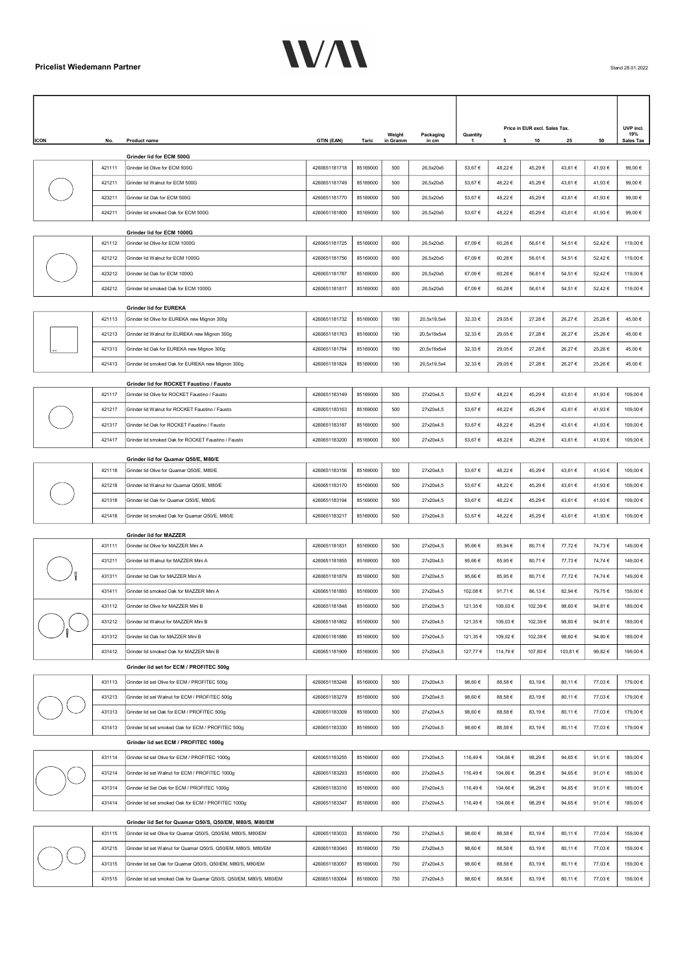|             |                  |                                                                                                   |                                |                      |                    |                        |                          |          | Price in EUR excl. Sales Tax. |          |         | UVP incl.               |
|-------------|------------------|---------------------------------------------------------------------------------------------------|--------------------------------|----------------------|--------------------|------------------------|--------------------------|----------|-------------------------------|----------|---------|-------------------------|
| <b>ICON</b> | No.              | Product name                                                                                      | GTIN (EAN)                     | Taric                | Weight<br>in Gramm | Packaging<br>in cm     | Quantity<br>$\mathbf{1}$ |          | 10                            | 25       | 50      | 19%<br><b>Sales Tax</b> |
|             |                  | Grinder lid for ECM 500G                                                                          |                                |                      |                    |                        |                          |          |                               |          |         |                         |
|             | 421111           | Grinder lid Olive for ECM 500G                                                                    | 4260651181718                  | 85169000             | 500                | 26,5x20x5              | 53,67€                   | 48,22 €  | 45,29€                        | 43,61 €  | 41,93 € | 99,00€                  |
|             | 421211           | Grinder lid Walnut for ECM 500G                                                                   | 4260651181749                  | 85169000             | 500                | 26,5x20x5              | 53,67 €                  | 48,22 €  | 45,29€                        | 43,61 €  | 41,93 € | 99,00€                  |
|             | 423211           | Grinder lid Oak for ECM 500G                                                                      | 4260651181770                  | 85169000             | 500                | 26,5x20x5              | 53,67 €                  | 48,22 €  | 45,29€                        | 43,61 €  | 41,93 € | 99,00€                  |
|             | 424211           | Grinder lid smoked Oak for ECM 500G                                                               | 4260651181800                  | 85169000             | 500                | 26,5x20x5              | 53,67 €                  | 48,22 €  | 45,29€                        | 43,61 €  | 41,93 € | 99,00€                  |
|             |                  | Grinder lid for ECM 1000G                                                                         |                                |                      |                    |                        |                          |          |                               |          |         |                         |
|             | 421112           | Grinder lid Olive for ECM 1000G                                                                   | 4260651181725                  | 85169000             | 600                | 26,5x20x5              | 67,09€                   | 60,28€   | 56,61€                        | 54,51 €  | 52,42 € | 119,00 €                |
|             | 421212           | Grinder lid Walnut for ECM 1000G                                                                  | 4260651181756                  | 85169000             | 600                | 26,5x20x5              | 67,09€                   | 60,28€   | 56,61€                        | 54,51 €  | 52,42 € | 119,00 €                |
|             | 423212           | Grinder lid Oak for ECM 1000G                                                                     | 4260651181787                  | 85169000             | 600                | 26,5x20x5              | 67,09€                   | 60,28€   | 56,61€                        | 54,51 €  | 52,42 € | 119,00 €                |
|             | 424212           | Grinder lid smoked Oak for ECM 1000G                                                              | 4260651181817                  | 85169000             | 600                | 26,5x20x5              | 67,09€                   | 60,28€   | 56,61€                        | 54,51€   | 52,42 € | 119,00€                 |
|             |                  | <b>Grinder lid for EUREKA</b>                                                                     |                                |                      |                    |                        |                          |          |                               |          |         |                         |
|             | 421113           | Grinder lid Olive for EUREKA new Mignon 300g                                                      | 4260651181732                  | 85169000             | 190                | 20,5x19,5x4            | 32,33 €                  | 29,05€   | 27,28€                        | 26,27€   | 25,26€  | 45,00 €                 |
|             | 421213           | Grinder lid Walnut for EUREKA new Mignon 300g                                                     | 4260651181763                  | 85169000             | 190                | 20,5x19x5x4            | 32.33 €                  | 29,05€   | 27,28€                        | 26.27 €  | 25,26 € | 45,00 €                 |
|             | 421313           | Grinder lid Oak for EUREKA new Mignon 300g                                                        | 4260651181794                  | 85169000             | 190                | 20,5x19x5x4            | 32,33 €                  | 29,05€   | 27,28€                        | 26,27€   | 25,26€  | 45,00 €                 |
|             | 421413           | Grinder lid smoked Oak for EUREKA new Mignon 300g                                                 | 4260651181824                  | 85169000             | 190                | 20,5x19,5x4            | 32,33 €                  | 29,05€   | 27,28€                        | 26,27€   | 25,26 € | 45,00 €                 |
|             |                  |                                                                                                   |                                |                      |                    |                        |                          |          |                               |          |         |                         |
|             | 421117           | Grinder lid for ROCKET Faustino / Fausto<br>Grinder lid Olive for ROCKET Faustino / Fausto        | 4260651183149                  | 85169000             | 500                | 27x20x4,5              | 53,67 €                  | 48,22 €  | 45,29€                        | 43,61 €  | 41,93 € | 109,00 €                |
|             | 421217           | Grinder lid Walnut for ROCKET Faustino / Fausto                                                   | 4260651183163                  | 85169000             | 500                | 27x20x4,5              | 53,67 €                  | 48,22 €  | 45,29€                        | 43,61 €  | 41,93 € | 109,00 €                |
|             | 421317           | Grinder lid Oak for ROCKET Faustino / Fausto                                                      | 4260651183187                  | 85169000             | 500                | 27x20x4,5              | 53,67 €                  | 48,22 €  | 45,29€                        | 43,61 €  | 41,93 € | 109,00 €                |
|             | 421417           | Grinder lid smoked Oak for ROCKET Faustino / Fausto                                               | 4260651183200                  | 85169000             | 500                | 27x20x4.5              | 53,67 €                  | 48,22 €  | 45,29€                        | 43,61 €  | 41,93 € | 109,00€                 |
|             |                  |                                                                                                   |                                |                      |                    |                        |                          |          |                               |          |         |                         |
|             | 421118           | Grinder lid for Quamar Q50/E, M80/E<br>Grinder lid Olive for Quamar Q50/E, M80/E                  | 4260651183156                  | 85169000             | 500                | 27x20x4,5              | 53,67 €                  | 48,22 €  | 45,29€                        | 43,61 €  | 41,93 € | 109,00 €                |
|             | 421218           | Grinder lid Walnut for Quamar Q50/E, M80/E                                                        | 4260651183170                  | 85169000             | 500                | 27x20x4,5              | 53,67€                   | 48,22 €  | 45,29€                        | 43,61 €  | 41,93 € | 109,00 €                |
|             | 421318           | Grinder lid Oak for Quamar Q50/E, M80/E                                                           | 4260651183194                  | 85169000             | 500                | 27x20x4.5              | 53,67 €                  | 48,22 €  | 45,29€                        | 43,61 €  | 41,93 € | 109,00 €                |
|             | 421418           | Grinder lid smoked Oak for Quamar Q50/E, M80/E                                                    | 4260651183217                  | 85169000             | 500                | 27x20x4,5              | 53,67 €                  | 48,22 €  | 45,29€                        | 43,61 €  | 41,93 € | 109,00 €                |
|             |                  |                                                                                                   |                                |                      |                    |                        |                          |          |                               |          |         |                         |
|             | 431111           | <b>Grinder lid for MAZZER</b><br>Grinder lid Olive for MAZZER Mini A                              | 4260651181831                  | 85169000             | 500                | 27x20x4,5              | 95,66 €                  | 85,94 €  | 80,71€                        | 77,72€   | 74,73€  | 149,00 €                |
|             | 431211           | Grinder lid Walnut for MAZZER Mini A                                                              | 4260651181855                  | 85169000             | 500                | 27x20x4.5              | 95,66€                   | 85,95€   | 80,71€                        | 77,73€   | 74,74€  | 149,00 €                |
|             | 431311           | Grinder lid Oak for MAZZER Mini A                                                                 | 4260651181879                  | 85169000             | 500                | 27x20x4,5              | 95,66€                   | 85,95€   | 80,71€                        | 77,72€   | 74,74€  | 149,00 €                |
|             | 431411           | Grinder lid smoked Oak for MAZZER Mini A                                                          | 4260651181893                  | 85169000             | 500                | 27x20x4,5              | 102,08€                  | 91,71€   | 86,13€                        | 82,94 €  | 79,75€  | 159,00 €                |
|             | 431112           | Grinder lid Olive for MAZZER Mini B                                                               | 4260651181848                  | 85169000             | 500                | 27x20x4,5              | 121,35 €                 | 109,03€  | 102,39 €                      | 98,60 €  | 94,81 € | 189,00 €                |
|             | 431212           | Grinder lid Walnut for MAZZER Mini B                                                              | 4260651181862                  | 85169000             | 500                | 27x20x4,5              | 121,35 €                 | 109,03 € | 102,39 €                      | 98,60 €  | 94,81€  | 189,00 €                |
|             | 431312           | Grinder lid Oak for MAZZER Mini B                                                                 | 4260651181886                  | 85169000             | 500                | 27x20x4,5              | 121,35 €                 | 109,02 € | 102,39€                       | 98,60 €  | 94,80 € | 189,00 €                |
|             | 431412           | Grinder lid smoked Oak for MAZZER Mini B                                                          | 4260651181909                  | 85169000             | 500                | 27x20x4,5              | 127,77 €                 | 114,79€  | 107,80 €                      | 103,81 € | 99,82€  | 199,00 €                |
|             |                  |                                                                                                   |                                |                      |                    |                        |                          |          |                               |          |         |                         |
|             |                  | Grinder lid set for ECM / PROFITEC 500g                                                           |                                |                      |                    |                        |                          |          |                               |          |         |                         |
|             | 431113           | Grinder lid set Olive for ECM / PROFITEC 500g                                                     | 4260651183248                  | 85169000             | 500<br>500         | 27x20x4,5<br>27x20x4,5 | 98,60 €                  | 88,58€   | 83,19€                        | 80,11 €  | 77,03 € | 179,00 €                |
|             | 431213           | Grinder lid set Walnut for ECM / PROFITEC 500g                                                    | 4260651183279                  | 85169000             |                    |                        | 98,60 €                  | 88,58€   | 83,19€                        | 80,11 €  | 77,03 € | 179,00 €                |
|             | 431313<br>431413 | Grinder lid set Oak for ECM / PROFITEC 500g<br>Grinder lid set smoked Oak for ECM / PROFITEC 500g | 4260651183309<br>4260651183330 | 85169000<br>85169000 | 500<br>500         | 27x20x4,5<br>27x20x4,5 | 98,60€                   | 88,58€   | 83,19€                        | 80,11 €  | 77,03 € | 179,00 €<br>179,00 €    |
|             |                  |                                                                                                   |                                |                      |                    |                        | 98,60 €                  | 88,58€   | 83,19€                        | 80,11 €  | 77,03 € |                         |
|             |                  | Grinder lid set ECM / PROFITEC 1000g                                                              |                                |                      |                    |                        |                          |          |                               |          |         |                         |
|             | 431114           | Grinder lid set Olive for ECM / PROFITEC 1000g                                                    | 4260651183255                  | 85169000             | 600                | 27x20x4,5              | 116,49€                  | 104,66 € | 98,29€                        | 94,65€   | 91,01 € | 189,00 €                |
|             | 431214           | Grinder lid set Walnut for ECM / PROFITEC 1000g                                                   | 4260651183293                  | 85169000             | 600                | 27x20x4,5              | 116,49€                  | 104,66 € | 98,29€                        | 94,65€   | 91,01 € | 189,00 €                |
|             | 431314           | Grinder lid Set Oak for ECM / PROFITEC 1000g                                                      | 4260651183316                  | 85169000             | 600                | 27x20x4,5              | 116,49€                  | 104,66€  | 98,29€                        | 94,65€   | 91,01€  | 189,00 €                |
|             | 431414           | Grinder lid set smoked Oak for ECM / PROFITEC 1000g                                               | 4260651183347                  | 85169000             | 600                | 27x20x4,5              | 116,49€                  | 104,66 € | 98,29€                        | 94,65€   | 91,01 € | 189,00 €                |
|             |                  | Grinder lid Set for Quamar Q50/S, Q50/EM, M80/S, M80/EM                                           |                                |                      |                    |                        |                          |          |                               |          |         |                         |
|             | 431115           | Grinder lid set Olive for Quamar Q50/S, Q50/EM, M80/S, M80/EM                                     | 4260651183033                  | 85169000             | 750                | 27x20x4,5              | 98,60 €                  | 88,58€   | 83,19€                        | 80,11 €  | 77,03 € | 159,00 €                |
|             | 431215           | Grinder lid set Walnut for Quamar Q50/S, Q50/EM, M80/S, M80/EM                                    | 4260651183040                  | 85169000             | 750                | 27x20x4,5              | 98,60 €                  | 88,58€   | 83,19€                        | 80,11 €  | 77,03 € | 159,00 €                |
|             | 431315           | Grinder lid set Oak for Quamar Q50/S, Q50/EM, M80/S, M80/EM                                       | 4260651183057                  | 85169000             | 750                | 27x20x4,5              | 98,60 €                  | 88,58€   | 83,19€                        | 80,11 €  | 77,03 € | 159,00 €                |
|             | 431515           | Grinder lid set smoked Oak for Quamar Q50/S, Q50/EM, M80/S, M80/EM                                | 4260651183064                  | 85169000             | 750                | 27x20x4,5              | 98,60 €                  | 88,58€   | 83,19€                        | 80,11 €  | 77,03 € | 159,00 €                |